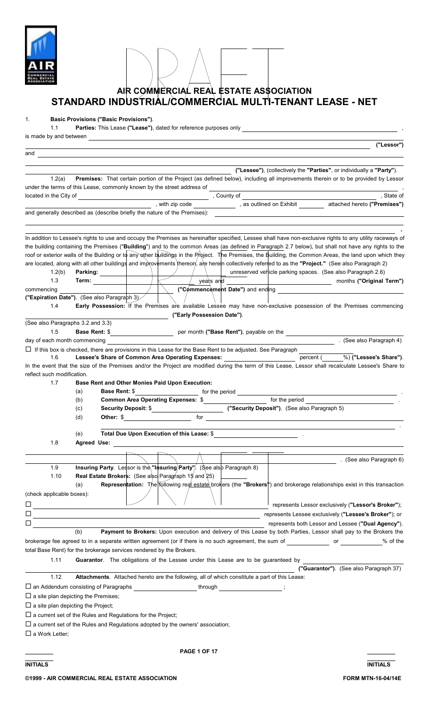

# **AIR COMMERCIAL REAL ESTATE ASSOCIATION STANDARD INDUSTRIAL/COMMERCIAL MULTI-TENANT LEASE - NET**

# 1. **Basic Provisions ("Basic Provisions")**.

1.1 **Parties:** This Lease **("Lease")**, dated for reference purposes only ,

| is made by and between                                               |               |                      |                                                                                                                       |           | ("Lessor")                                                                                                                                                |
|----------------------------------------------------------------------|---------------|----------------------|-----------------------------------------------------------------------------------------------------------------------|-----------|-----------------------------------------------------------------------------------------------------------------------------------------------------------|
| and                                                                  |               |                      | <u>and the state of the state of the state of the state of the state of the state of the state of the state of th</u> |           |                                                                                                                                                           |
|                                                                      |               |                      |                                                                                                                       |           | ("Lessee"), (collectively the "Parties", or individually a "Party").                                                                                      |
| 1.2(a)                                                               |               |                      |                                                                                                                       |           | Premises: That certain portion of the Project (as defined below), including all improvements therein or to be provided by Lessor                          |
|                                                                      |               |                      | under the terms of this Lease, commonly known by the street address of                                                |           |                                                                                                                                                           |
|                                                                      |               |                      |                                                                                                                       |           | , State of                                                                                                                                                |
|                                                                      |               |                      |                                                                                                                       |           |                                                                                                                                                           |
|                                                                      |               |                      | and generally described as (describe briefly the nature of the Premises):                                             |           |                                                                                                                                                           |
|                                                                      |               |                      |                                                                                                                       |           | In addition to Lessee's rights to use and occupy the Premises as hereinafter specified, Lessee shall have non-exclusive rights to any utility raceways of |
|                                                                      |               |                      |                                                                                                                       |           | the building containing the Premises ("Building") and to the common Areas (as defined in Paragraph 2.7 below), but shall not have any rights to the       |
|                                                                      |               |                      |                                                                                                                       |           | roof or exterior walls of the Building or to any other buildings in the Project. The Premises, the Building, the Common Areas, the land upon which they   |
|                                                                      |               |                      |                                                                                                                       |           | are located, along with all other buildings and improvements thereon, are herein collectively referred to as the "Project." (See also Paragraph 2)        |
| 1.2(b)                                                               | Parking:      |                      |                                                                                                                       |           | unreserved vehicle parking spaces. (See also Paragraph 2.6)                                                                                               |
| 1.3                                                                  |               | Term:                |                                                                                                                       | years and | months ("Original Term")                                                                                                                                  |
| commencing                                                           |               |                      |                                                                                                                       |           |                                                                                                                                                           |
| ("Expiration Date"). (See also Paragraph 3)                          |               |                      |                                                                                                                       |           |                                                                                                                                                           |
| 1.4                                                                  |               |                      |                                                                                                                       |           | Early Possession: If the Premises are available Lessee may have non-exclusive possession of the Premises commencing                                       |
|                                                                      |               |                      | ("Early Possession Date").                                                                                            |           |                                                                                                                                                           |
| (See also Paragraphs 3.2 and 3.3)                                    |               |                      |                                                                                                                       |           |                                                                                                                                                           |
| 1.5                                                                  | Base Rent: \$ |                      | per month ("Base Rent"), payable on the                                                                               |           |                                                                                                                                                           |
| day of each month commencing                                         |               |                      |                                                                                                                       |           | . (See also Paragraph 4)                                                                                                                                  |
|                                                                      |               |                      | $\Box$ If this box is checked, there are provisions in this Lease for the Base Rent to be adjusted. See Paragraph     |           |                                                                                                                                                           |
| 1.6                                                                  |               |                      | Lessee's Share of Common Area Operating Expenses:                                                                     |           | percent (%) ("Lessee's Share").                                                                                                                           |
|                                                                      |               |                      |                                                                                                                       |           | In the event that the size of the Premises and/or the Project are modified during the term of this Lease, Lessor shall recalculate Lessee's Share to      |
| reflect such modification.                                           |               |                      |                                                                                                                       |           |                                                                                                                                                           |
| 1.7                                                                  |               |                      | <b>Base Rent and Other Monies Paid Upon Execution:</b>                                                                |           |                                                                                                                                                           |
|                                                                      | (a)           | <b>Base Rent: \$</b> | for the period <b>container</b>                                                                                       |           |                                                                                                                                                           |
|                                                                      | (b)           |                      |                                                                                                                       |           | Common Area Operating Expenses: \$                                                                                                                        |
|                                                                      | (c)           |                      |                                                                                                                       |           |                                                                                                                                                           |
|                                                                      | (d)           |                      | Other: \$                                                                                                             |           | $\overline{\text{for}}$                                                                                                                                   |
|                                                                      |               |                      |                                                                                                                       |           |                                                                                                                                                           |
|                                                                      | (e)           |                      |                                                                                                                       |           |                                                                                                                                                           |
| 1.8                                                                  | Agreed Use:   |                      |                                                                                                                       |           |                                                                                                                                                           |
|                                                                      |               |                      |                                                                                                                       |           |                                                                                                                                                           |
| 1.9                                                                  |               |                      | Insuring Party. Lessor is the "Insuring Party"/ (See also Paragraph 8)                                                |           | (See also Paragraph 6)                                                                                                                                    |
| 1.10                                                                 |               |                      | Real Estate Brokers: (See also Paragraph 15 and 25)                                                                   |           |                                                                                                                                                           |
|                                                                      | (a)           |                      |                                                                                                                       |           | Representation: The following real estate brokers (the "Brokers") and brokerage relationships exist in this transaction                                   |
| (check applicable boxes):                                            |               |                      |                                                                                                                       |           |                                                                                                                                                           |
|                                                                      |               |                      |                                                                                                                       |           |                                                                                                                                                           |
| ப<br><u> 1989 - Jan Samuel Barbara, politik e</u> ta pro             |               |                      |                                                                                                                       |           | represents Lessor exclusively ("Lessor's Broker");                                                                                                        |
| П                                                                    |               |                      |                                                                                                                       |           | represents Lessee exclusively ("Lessee's Broker"); or                                                                                                     |
|                                                                      |               |                      |                                                                                                                       |           | represents both Lessor and Lessee ("Dual Agency").                                                                                                        |
|                                                                      | (b)           |                      |                                                                                                                       |           | Payment to Brokers: Upon execution and delivery of this Lease by both Parties, Lessor shall pay to the Brokers the                                        |
|                                                                      |               |                      |                                                                                                                       |           | brokerage fee agreed to in a separate written agreement (or if there is no such agreement, the sum of ______________ or __________% of the                |
| total Base Rent) for the brokerage services rendered by the Brokers. |               |                      |                                                                                                                       |           |                                                                                                                                                           |
| 1.11                                                                 |               |                      | <b>Guarantor.</b> The obligations of the Lessee under this Lease are to be guaranteed by                              |           |                                                                                                                                                           |
|                                                                      |               |                      |                                                                                                                       |           | ("Guarantor"). (See also Paragraph 37)                                                                                                                    |
| 1.12                                                                 |               |                      | Attachments. Attached hereto are the following, all of which constitute a part of this Lease:                         |           |                                                                                                                                                           |
|                                                                      |               |                      | □ an Addendum consisting of Paragraphs _______________________through _________________;                              |           |                                                                                                                                                           |
| $\Box$ a site plan depicting the Premises;                           |               |                      |                                                                                                                       |           |                                                                                                                                                           |
| $\Box$ a site plan depicting the Project;                            |               |                      |                                                                                                                       |           |                                                                                                                                                           |
|                                                                      |               |                      |                                                                                                                       |           |                                                                                                                                                           |
| $\Box$ a current set of the Rules and Regulations for the Project;   |               |                      |                                                                                                                       |           |                                                                                                                                                           |
|                                                                      |               |                      | $\Box$ a current set of the Rules and Regulations adopted by the owners' association;                                 |           |                                                                                                                                                           |
| $\Box$ a Work Letter;                                                |               |                      |                                                                                                                       |           |                                                                                                                                                           |
|                                                                      |               |                      |                                                                                                                       |           |                                                                                                                                                           |

**\_\_\_\_\_\_\_\_\_ PAGE 1 OF 17 \_\_\_\_\_\_\_\_\_**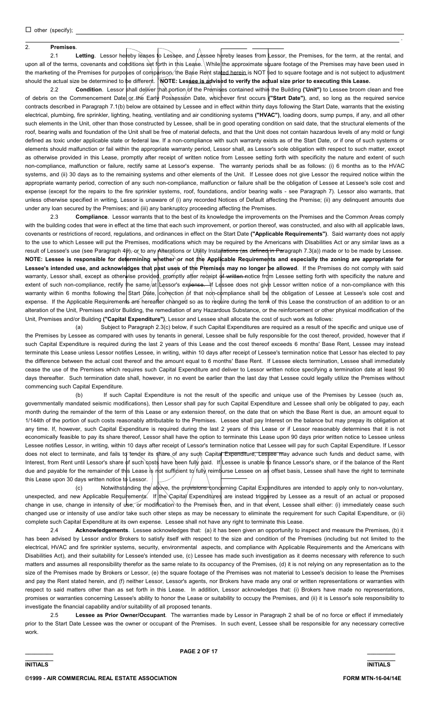# 2. **Premises**.

2.1 **Letting**. Lessor hereby leases to Lessee, and Lessee hereby leases from Lessor, the Premises, for the term, at the rental, and upon all of the terms, covenants and conditions set forth in this Lease. While the approximate square footage of the Premises may have been used in the marketing of the Premises for purposes of comparison, the Base Rent stated herein is NOT tied to square footage and is not subject to adjustment should the actual size be determined to be different. **NOTE: Lessee is advised to verify the actual size prior to executing this Lease.**

<u>. Andre and the second control of the second control of the second control of the second control of the second</u>

2.2 **Condition**. Lessor shall deliver that portion of the Premises contained within the Building **('Unit'')** to Lessee broom clean and free of debris on the Commencement Date or the Early Possession Date, whichever first occurs ("Start Date"), and, so long as the required service contracts described in Paragraph 7.1(b) below are obtained by Lessee and in effect within thirty days following the Start Date, warrants that the existing electrical, plumbing, fire sprinkler, lighting, heating, ventilating and air conditioning systems **("HVAC")**, loading doors, sump pumps, if any, and all other such elements in the Unit, other than those constructed by Lessee, shall be in good operating condition on said date, that the structural elements of the roof, bearing walls and foundation of the Unit shall be free of material defects, and that the Unit does not contain hazardous levels of any mold or fungi defined as toxic under applicable state or federal law. If a non-compliance with such warranty exists as of the Start Date, or if one of such systems or elements should malfunction or fail within the appropriate warranty period, Lessor shall, as Lessor's sole obligation with respect to such matter, except as otherwise provided in this Lease, promptly after receipt of written notice from Lessee setting forth with specificity the nature and extent of such non-compliance, malfunction or failure, rectify same at Lessor's expense. The warranty periods shall be as follows: (i) 6 months as to the HVAC systems, and (ii) 30 days as to the remaining systems and other elements of the Unit. If Lessee does not give Lessor the required notice within the appropriate warranty period, correction of any such non-compliance, malfunction or failure shall be the obligation of Lessee at Lessee's sole cost and expense (except for the repairs to the fire sprinkler systems, roof, foundations, and/or bearing walls - see Paragraph 7). Lessor also warrants, that unless otherwise specified in writing, Lessor is unaware of (i) any recorded Notices of Default affecting the Premise; (ii) any delinquent amounts due under any loan secured by the Premises; and (iii) any bankruptcy proceeding affecting the Premises.

 2.3 **Compliance**. Lessor warrants that to the best of its knowledge the improvements on the Premises and the Common Areas comply with the building codes that were in effect at the time that each such improvement, or portion thereof, was constructed, and also with all applicable laws, covenants or restrictions of record, regulations, and ordinances in effect on the Start Date **("Applicable Requirements")**. Said warranty does not apply to the use to which Lessee will put the Premises, modifications which may be required by the Americans with Disabilities Act or any similar laws as a result of Lessee's use (see Paragraph 40), or to any Alterations or Utility Installations (as defined in Paragraph 7.3(a)) made or to be made by Lessee. **NOTE: Lessee is responsible for determining whether or not the Applicable Requirements and especially the zoning are appropriate for** Lessee's intended use, and acknowledges that past uses of the Premises may no longer be allowed. If the Premises do not comply with said warranty, Lessor shall, except as otherwise provided, promptly after redeipt of written notice from Lessee setting forth with specificity the nature and extent of such non-compliance, rectify the same/at Lessor's expense. If Lessee does not give Lessor written notice of a non-compliance with this warranty within 6 months following the Start Date, correction of that non-compliance shall be the obligation of Lessee at Lessee's sole cost and expense. If the Applicable Requirements are hereafter changed so as to require during the term of this Lease the construction of an addition to or an alteration of the Unit, Premises and/or Building, the remediation of any Hazardous Substance, or the reinforcement or other physical modification of the Unit, Premises and/or Building **("Capital Expenditure")**, Lessor and Lessee shall allocate the cost of such work as follows:

 (a) Subject to Paragraph 2.3(c) below, if such Capital Expenditures are required as a result of the specific and unique use of the Premises by Lessee as compared with uses by tenants in general, Lessee shall be fully responsible for the cost thereof, provided, however that if such Capital Expenditure is required during the last 2 years of this Lease and the cost thereof exceeds 6 months' Base Rent, Lessee may instead terminate this Lease unless Lessor notifies Lessee, in writing, within 10 days after receipt of Lessee's termination notice that Lessor has elected to pay the difference between the actual cost thereof and the amount equal to 6 months' Base Rent. If Lessee elects termination, Lessee shall immediately cease the use of the Premises which requires such Capital Expenditure and deliver to Lessor written notice specifying a termination date at least 90 days thereafter. Such termination date shall, however, in no event be earlier than the last day that Lessee could legally utilize the Premises without commencing such Capital Expenditure.

 (b) If such Capital Expenditure is not the result of the specific and unique use of the Premises by Lessee (such as, governmentally mandated seismic modifications), then Lessor shall pay for such Capital Expenditure and Lessee shall only be obligated to pay, each month during the remainder of the term of this Lease or any extension thereof, on the date that on which the Base Rent is due, an amount equal to 1/144th of the portion of such costs reasonably attributable to the Premises. Lessee shall pay Interest on the balance but may prepay its obligation at any time. If, however, such Capital Expenditure is required during the last 2 years of this Lease or if Lessor reasonably determines that it is not economically feasible to pay its share thereof, Lessor shall have the option to terminate this Lease upon 90 days prior written notice to Lessee unless Lessee notifies Lessor, in writing, within 10 days after receipt of Lessor's termination notice that Lessee will pay for such Capital Expenditure. If Lessor does not elect to terminate, and fails to tender its share of any such Capital Expenditure, Lessee may advance such funds and deduct same, with Interest, from Rent until Lessor's share of such costs have been fully paid. If Lessee is unable to finance Lessor's share, or if the balance of the Rent due and payable for the remainder of this Lease is not sufficient to fully reimburse Lessee on an offset basis, Lessee shall have the right to terminate this Lease upon 30 days written notice to Lessor.

(c) Notwithstanding the above, the provisions concerning Capital Expenditures are intended to apply only to non-voluntary, unexpected, and new Applicable Requirements. If the Capital Expenditures are instead triggered by Lessee as a result of an actual or proposed change in use, change in intensity of use, or modification to the Premises then, and in that event, Lessee shall either: (i) immediately cease such changed use or intensity of use and/or take such other steps as may be necessary to eliminate the requirement for such Capital Expenditure, or (ii) complete such Capital Expenditure at its own expense. Lessee shall not have any right to terminate this Lease.

 2.4 **Acknowledgements**. Lessee acknowledges that: (a) it has been given an opportunity to inspect and measure the Premises, (b) it has been advised by Lessor and/or Brokers to satisfy itself with respect to the size and condition of the Premises (including but not limited to the electrical, HVAC and fire sprinkler systems, security, environmental aspects, and compliance with Applicable Requirements and the Americans with Disabilities Act), and their suitability for Lessee's intended use, (c) Lessee has made such investigation as it deems necessary with reference to such matters and assumes all responsibility therefor as the same relate to its occupancy of the Premises, (d) it is not relying on any representation as to the size of the Premises made by Brokers or Lessor, (e) the square footage of the Premises was not material to Lessee's decision to lease the Premises and pay the Rent stated herein, and (f) neither Lessor, Lessor's agents, nor Brokers have made any oral or written representations or warranties with respect to said matters other than as set forth in this Lease. In addition, Lessor acknowledges that: (i) Brokers have made no representations, promises or warranties concerning Lessee's ability to honor the Lease or suitability to occupy the Premises, and (ii) it is Lessor's sole responsibility to investigate the financial capability and/or suitability of all proposed tenants.

 2.5 **Lessee as Prior Owner/Occupant**. The warranties made by Lessor in Paragraph 2 shall be of no force or effect if immediately prior to the Start Date Lessee was the owner or occupant of the Premises. In such event, Lessee shall be responsible for any necessary corrective work.

**\_\_\_\_\_\_\_\_\_ PAGE 2 OF 17 \_\_\_\_\_\_\_\_\_**

**\_\_\_\_\_\_\_\_\_ \_\_\_\_\_\_\_\_\_**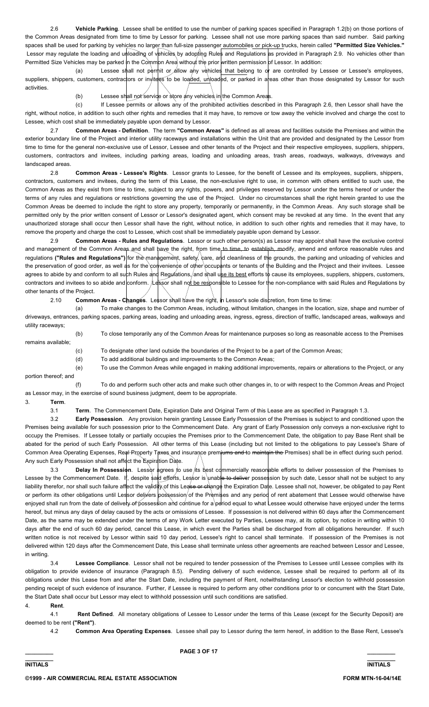2.6 **Vehicle Parking**. Lessee shall be entitled to use the number of parking spaces specified in Paragraph 1.2(b) on those portions of the Common Areas designated from time to time by Lessor for parking. Lessee shall not use more parking spaces than said number. Said parking spaces shall be used for parking by vehicles no larger than full-size passenger automobiles or pick-up trucks, herein called "Permitted Size Vehicles." Lessor may regulate the loading and unloading of vehicles by adopting Rules and Regulations as provided in Paragraph 2.9. No vehicles other than Permitted Size Vehicles may be parked in the Common Area without the prior written permission of Lessor. In addition:

(a) Lessee shall not permit or allow any vehicles that belong to or are controlled by Lessee or Lessee's employees, suppliers, shippers, customers, contractors or inviters to be loaded, unloaded, or parked in areas other than those designated by Lessor for such activities.

(b) Lessee shall not service or store any vehicles in the Common Areas.

 (c) If Lessee permits or allows any of the prohibited activities described in this Paragraph 2.6, then Lessor shall have the right, without notice, in addition to such other rights and remedies that it may have, to remove or tow away the vehicle involved and charge the cost to Lessee, which cost shall be immediately payable upon demand by Lessor.

 2.7 **Common Areas - Definition**. The term **"Common Areas"** is defined as all areas and facilities outside the Premises and within the exterior boundary line of the Project and interior utility raceways and installations within the Unit that are provided and designated by the Lessor from time to time for the general non-exclusive use of Lessor, Lessee and other tenants of the Project and their respective employees, suppliers, shippers, customers, contractors and invitees, including parking areas, loading and unloading areas, trash areas, roadways, walkways, driveways and landscaped areas.

 2.8 **Common Areas - Lessee's Rights**. Lessor grants to Lessee, for the benefit of Lessee and its employees, suppliers, shippers, contractors, customers and invitees, during the term of this Lease, the non-exclusive right to use, in common with others entitled to such use, the Common Areas as they exist from time to time, subject to any rights, powers, and privileges reserved by Lessor under the terms hereof or under the terms of any rules and regulations or restrictions governing the use of the Project. Under no circumstances shall the right herein granted to use the Common Areas be deemed to include the right to store any property, temporarily or permanently, in the Common Areas. Any such storage shall be permitted only by the prior written consent of Lessor or Lessor's designated agent, which consent may be revoked at any time. In the event that any unauthorized storage shall occur then Lessor shall have the right, without notice, in addition to such other rights and remedies that it may have, to remove the property and charge the cost to Lessee, which cost shall be immediately payable upon demand by Lessor.

 2.9 **Common Areas - Rules and Regulations**. Lessor or such other person(s) as Lessor may appoint shall have the exclusive control and management of the Common Areas and shall have the right, from time<sub>r</sub> to the time, to establish, modify, amend and enforce reasonable rules and regulations ("Rules and Regulations") for the management, safety, care, and cleanliness of the grounds, the parking and unloading of vehicles and the preservation of good order, as well as for the convenience of other occupants or tenants of the Building and the Project and their invitees. Lessee agrees to abide by and conform to all such Rules and Regulations,/and shall use its best efforts to cause its employees, suppliers, shippers, customers, contractors and invitees to so abide and conform. Lessor shall not be responsible to Lessee for the non-compliance with said Rules and Regulations by other tenants of the Project.

2.10 **Common Areas - Changes**. Lessor shall have the right, in Lessor's sole discretion, from time to time:

 (a) To make changes to the Common Areas, including, without limitation, changes in the location, size, shape and number of driveways, entrances, parking spaces, parking areas, loading and unloading areas, ingress, egress, direction of traffic, landscaped areas, walkways and utility raceways;

 (b) To close temporarily any of the Common Areas for maintenance purposes so long as reasonable access to the Premises remains available;

 (c) To designate other land outside the boundaries of the Project to be a part of the Common Areas; (d) To add additional buildings and improvements to the Common Areas;

 (e) To use the Common Areas while engaged in making additional improvements, repairs or alterations to the Project, or any portion thereof; and

 (f) To do and perform such other acts and make such other changes in, to or with respect to the Common Areas and Project as Lessor may, in the exercise of sound business judgment, deem to be appropriate.

3. **Term**.

3.1 **Term**. The Commencement Date, Expiration Date and Original Term of this Lease are as specified in Paragraph 1.3.

 3.2 **Early Possession**. Any provision herein granting Lessee Early Possession of the Premises is subject to and conditioned upon the Premises being available for such possession prior to the Commencement Date. Any grant of Early Possession only conveys a non-exclusive right to occupy the Premises. If Lessee totally or partially occupies the Premises prior to the Commencement Date, the obligation to pay Base Rent shall be abated for the period of such Early Possession. All other terms of this Lease (including but not limited to the obligations to pay Lessee's Share of Common Area Operating Expenses, Real Property Taxes and insurance premiums and to maintain the Premises) shall be in effect during such period. Any such Early Possession shall not affect the Expiration Date.

3.3 **Delay In Possession**. Lessor agrees to use its best commercially reasonable efforts to deliver possession of the Premises to Lessee by the Commencement Date. If, despite said efforts, Lessor is unable to deliver possession by such date, Lessor shall not be subject to any liability therefor, nor shall such failure affect the validity of this Lease or change the Expiration Date. Lessee shall not, however, be obligated to pay Rent or perform its other obligations until Lessor delivers possession of the Premises and any period of rent abatement that Lessee would otherwise have enjoyed shall run from the date of delivery of possession and continue for a period equal to what Lessee would otherwise have enjoyed under the terms hereof, but minus any days of delay caused by the acts or omissions of Lessee. If possession is not delivered within 60 days after the Commencement Date, as the same may be extended under the terms of any Work Letter executed by Parties, Lessee may, at its option, by notice in writing within 10 days after the end of such 60 day period, cancel this Lease, in which event the Parties shall be discharged from all obligations hereunder. If such written notice is not received by Lessor within said 10 day period, Lessee's right to cancel shall terminate. If possession of the Premises is not delivered within 120 days after the Commencement Date, this Lease shall terminate unless other agreements are reached between Lessor and Lessee, in writing.

 3.4 **Lessee Compliance**. Lessor shall not be required to tender possession of the Premises to Lessee until Lessee complies with its obligation to provide evidence of insurance (Paragraph 8.5). Pending delivery of such evidence, Lessee shall be required to perform all of its obligations under this Lease from and after the Start Date, including the payment of Rent, notwithstanding Lessor's election to withhold possession pending receipt of such evidence of insurance. Further, if Lessee is required to perform any other conditions prior to or concurrent with the Start Date, the Start Date shall occur but Lessor may elect to withhold possession until such conditions are satisfied. 4. **Rent**.

 4.1 **Rent Defined**. All monetary obligations of Lessee to Lessor under the terms of this Lease (except for the Security Deposit) are deemed to be rent **("Rent")**.

4.2 **Common Area Operating Expenses**. Lessee shall pay to Lessor during the term hereof, in addition to the Base Rent, Lessee's

**\_\_\_\_\_\_\_\_\_ PAGE 3 OF 17 \_\_\_\_\_\_\_\_\_**

**\_\_\_\_\_\_\_\_\_ \_\_\_\_\_\_\_\_\_**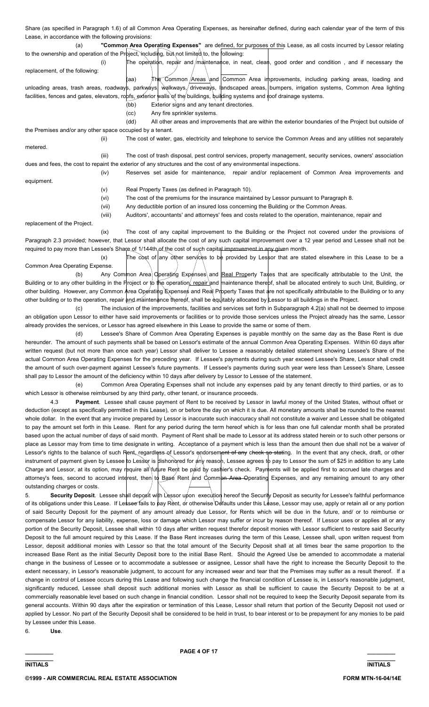Share (as specified in Paragraph 1.6) of all Common Area Operating Expenses, as hereinafter defined, during each calendar year of the term of this Lease, in accordance with the following provisions:

 (a) **"Common Area Operating Expenses"** are defined, for purposes of this Lease, as all costs incurred by Lessor relating to the ownership and operation of the Pr $\phi$ ject, including, but not limite $\theta$  to, the rollowing:

 (i) The operation, repair and maintenance, in neat, clean, good order and condition , and if necessary the replacement, of the following: (aa) /The Common <u>/Areas \</u>and | Common Area im|provements, including parking areas, loading and unloading areas, trash areas, roadways, parkways, walkways, driveways, landscaped areas, bumpers, irrigation systems, Common Area lighting facilities, fences and gates, elevators, roofs, exterior walls of the buildings, building systems and roof drainage systems. (bb) Exterior signs and any tenant directories. (cc) Any fire sprinkler systems. (dd) All other areas and improvements that are within the exterior boundaries of the Project but outside of the Premises and/or any other space occupied by a tenant. (ii) The cost of water, gas, electricity and telephone to service the Common Areas and any utilities not separately metered. (iii) The cost of trash disposal, pest control services, property management, security services, owners' association dues and fees, the cost to repaint the exterior of any structures and the cost of any environmental inspections.

equipment.

(v) Real Property Taxes (as defined in Paragraph 10).

(vi) The cost of the premiums for the insurance maintained by Lessor pursuant to Paragraph 8.

(vii) Any deductible portion of an insured loss concerning the Building or the Common Areas.

(viii) Auditors', accountants' and attorneys' fees and costs related to the operation, maintenance, repair and

(iv) Reserves set aside for maintenance, repair and/or replacement of Common Area improvements and

replacement of the Project.

 (ix) The cost of any capital improvement to the Building or the Project not covered under the provisions of Paragraph 2.3 provided; however, that Lessor shall allocate the cost of any such capital improvement over a 12 year period and Lessee shall not be required to pay more than Lessee's Share of 1/144th of the cost of such capital improvement in any given month.

(x) The cost of any other services to be provided by Lessor that are stated elsewhere in this Lease to be a Common Area Operating Expense.

(b) Any Common Area Operating Expenses and Real Property Taxes that are specifically attributable to the Unit, the Building or to any other building in the Project or to the operation, repair and maintenance thereof, shall be allocated entirely to such Unit, Building, or other building. However, any Common Area Operating Expenses and Real Property Taxes that are not specifically attributable to the Building or to any other building or to the operation, repair and maintenance thereof, shall be equitably allocated by Lessor to all buildings in the Project.

 (c) The inclusion of the improvements, facilities and services set forth in Subparagraph 4.2(a) shall not be deemed to impose an obligation upon Lessor to either have said improvements or facilities or to provide those services unless the Project already has the same, Lessor already provides the services, or Lessor has agreed elsewhere in this Lease to provide the same or some of them.

Lessee's Share of Common Area Operating Expenses is payable monthly on the same day as the Base Rent is due hereunder. The amount of such payments shall be based on Lessor's estimate of the annual Common Area Operating Expenses. Within 60 days after written request (but not more than once each year) Lessor shall deliver to Lessee a reasonably detailed statement showing Lessee's Share of the actual Common Area Operating Expenses for the preceding year. If Lessee's payments during such year exceed Lessee's Share, Lessor shall credit the amount of such over-payment against Lessee's future payments. If Lessee's payments during such year were less than Lessee's Share, Lessee shall pay to Lessor the amount of the deficiency within 10 days after delivery by Lessor to Lessee of the statement.

 (e) Common Area Operating Expenses shall not include any expenses paid by any tenant directly to third parties, or as to which Lessor is otherwise reimbursed by any third party, other tenant, or insurance proceeds.

 4.3 **Payment**. Lessee shall cause payment of Rent to be received by Lessor in lawful money of the United States, without offset or deduction (except as specifically permitted in this Lease), on or before the day on which it is due. All monetary amounts shall be rounded to the nearest whole dollar. In the event that any invoice prepared by Lessor is inaccurate such inaccuracy shall not constitute a waiver and Lessee shall be obligated to pay the amount set forth in this Lease. Rent for any period during the term hereof which is for less than one full calendar month shall be prorated based upon the actual number of days of said month. Payment of Rent shall be made to Lessor at its address stated herein or to such other persons or place as Lessor may from time to time designate in writing. Acceptance of a payment which is less than the amount then due shall not be a waiver of Lessor's rights to the balance of such Rent, regardless of Lessor's endorsement of any check so stating. In the event that any check, draft, or other instrument of payment given by Lessee <mark>to Lessor is dishonored for an</mark>y reason, Lessee agrees to pay to Lessor the sum of \$25 in addition to any Late Charge and Lessor, at its option, may require all future Rent be paid by cashier's check. Payments will be applied first to accrued late charges and attorney's fees, second to accrued interest, then to Base Rent and Common Area Operating Expenses, and any remaining amount to any other outstanding charges or costs.

5. **Security Deposit**. Lessee shall deposit with Lessor upon execution hereof the Security Deposit as security for Lessee's faithful performance of its obligations under this Lease. If Lessee fails to pay Rent, or otherwise Defaults under this Lease, Lessor may use, apply or retain all or any portion of said Security Deposit for the payment of any amount already due Lessor, for Rents which will be due in the future, and/ or to reimburse or compensate Lessor for any liability, expense, loss or damage which Lessor may suffer or incur by reason thereof. If Lessor uses or applies all or any portion of the Security Deposit, Lessee shall within 10 days after written request therefor deposit monies with Lessor sufficient to restore said Security Deposit to the full amount required by this Lease. If the Base Rent increases during the term of this Lease, Lessee shall, upon written request from Lessor, deposit additional monies with Lessor so that the total amount of the Security Deposit shall at all times bear the same proportion to the increased Base Rent as the initial Security Deposit bore to the initial Base Rent. Should the Agreed Use be amended to accommodate a material change in the business of Lessee or to accommodate a sublessee or assignee, Lessor shall have the right to increase the Security Deposit to the extent necessary, in Lessor's reasonable judgment, to account for any increased wear and tear that the Premises may suffer as a result thereof. If a change in control of Lessee occurs during this Lease and following such change the financial condition of Lessee is, in Lessor's reasonable judgment, significantly reduced, Lessee shall deposit such additional monies with Lessor as shall be sufficient to cause the Security Deposit to be at a commercially reasonable level based on such change in financial condition. Lessor shall not be required to keep the Security Deposit separate from its general accounts. Within 90 days after the expiration or termination of this Lease, Lessor shall return that portion of the Security Deposit not used or applied by Lessor. No part of the Security Deposit shall be considered to be held in trust, to bear interest or to be prepayment for any monies to be paid by Lessee under this Lease.

6. **Use**.

**\_\_\_\_\_\_\_\_\_ PAGE 4 OF 17 \_\_\_\_\_\_\_\_\_**

**\_\_\_\_\_\_\_\_\_ \_\_\_\_\_\_\_\_\_**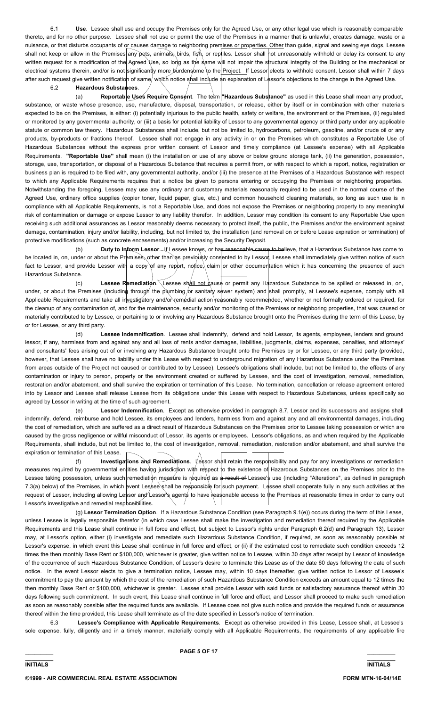6.1 **Use**. Lessee shall use and occupy the Premises only for the Agreed Use, or any other legal use which is reasonably comparable thereto, and for no other purpose. Lessee shall not use or permit the use of the Premises in a manner that is unlawful, creates damage, waste or a nuisance, or that disturbs occupants of or causes damage to neighboring premises or properties. Other than guide, signal and seeing eye dogs, Lessee shall not keep or allow in the Premises any pets, animals, birds, fish, or reptiles. Lessor shall not unreasonably withhold or delay its consent to any written request for a modification of the Agreed Use, so long as the same will not impair the structural integrity of the Building or the mechanical or electrical systems therein, and/or is not significantly more burdensome to the Project. If Lessor elects to withhold consent, Lessor shall within 7 days after such request give written notification of same, which notice shall include an explanation of Lessor's objections to the change in the Agreed Use. 6.2 **Hazardous Substances**.

(a) **Reportable Uses Require Consent**. The term **"Hazardous Substance"** as used in this Lease shall mean any product, substance, or waste whose presence, use, manufacture, disposal, transportation, or release, either by itself or in combination with other materials expected to be on the Premises, is either: (i) potentially injurious to the public health, safety or welfare, the environment or the Premises, (ii) regulated or monitored by any governmental authority, or (iii) a basis for potential liability of Lessor to any governmental agency or third party under any applicable statute or common law theory. Hazardous Substances shall include, but not be limited to, hydrocarbons, petroleum, gasoline, and/or crude oil or any products, by-products or fractions thereof. Lessee shall not engage in any activity in or on the Premises which constitutes a Reportable Use of Hazardous Substances without the express prior written consent of Lessor and timely compliance (at Lessee's expense) with all Applicable Requirements. **"Reportable Use"** shall mean (i) the installation or use of any above or below ground storage tank, (ii) the generation, possession, storage, use, transportation, or disposal of a Hazardous Substance that requires a permit from, or with respect to which a report, notice, registration or business plan is required to be filed with, any governmental authority, and/or (iii) the presence at the Premises of a Hazardous Substance with respect to which any Applicable Requirements requires that a notice be given to persons entering or occupying the Premises or neighboring properties. Notwithstanding the foregoing, Lessee may use any ordinary and customary materials reasonably required to be used in the normal course of the Agreed Use, ordinary office supplies (copier toner, liquid paper, glue, etc.) and common household cleaning materials, so long as such use is in compliance with all Applicable Requirements, is not a Reportable Use, and does not expose the Premises or neighboring property to any meaningful risk of contamination or damage or expose Lessor to any liability therefor. In addition, Lessor may condition its consent to any Reportable Use upon receiving such additional assurances as Lessor reasonably deems necessary to protect itself, the public, the Premises and/or the environment against damage, contamination, injury and/or liability, including, but not limited to, the installation (and removal on or before Lease expiration or termination) of protective modifications (such as concrete encasements) and/or increasing the Security Deposit.

 (b) **Duty to Inform Lessor**. If Lessee knows, or has reasonable cause to believe, that a Hazardous Substance has come to be located in, on, under or about the Premises, other than as previously consented to by Lessor, Lessee shall immediately give written notice of such fact to Lessor, and provide Lessor with a copy of any report, notice, claim or other documentation which it has concerning the presence of such Hazardous Substance.

(c) Lessee Remediation. Lessee shall not cause or permit any Hazardous Substance to be spilled or released in, on, under, or about the Premises (including through the plumbing/or sanitary sewer system) and shall promptly, at Lessee's expense, comply with all Applicable Requirements and take all investigatory and/or remedial action reasonably recommended, whether or not formally ordered or required, for the cleanup of any contamination of, and for the maintenance, security and/or monitoring of the Premises or neighboring properties, that was caused or materially contributed to by Lessee, or pertaining to or involving any Hazardous Substance brought onto the Premises during the term of this Lease, by or for Lessee, or any third party.

 (d) **Lessee Indemnification**. Lessee shall indemnify, defend and hold Lessor, its agents, employees, lenders and ground lessor, if any, harmless from and against any and all loss of rents and/or damages, liabilities, judgments, claims, expenses, penalties, and attorneys' and consultants' fees arising out of or involving any Hazardous Substance brought onto the Premises by or for Lessee, or any third party (provided, however, that Lessee shall have no liability under this Lease with respect to underground migration of any Hazardous Substance under the Premises from areas outside of the Project not caused or contributed to by Lessee). Lessee's obligations shall include, but not be limited to, the effects of any contamination or injury to person, property or the environment created or suffered by Lessee, and the cost of investigation, removal, remediation, restoration and/or abatement, and shall survive the expiration or termination of this Lease. No termination, cancellation or release agreement entered into by Lessor and Lessee shall release Lessee from its obligations under this Lease with respect to Hazardous Substances, unless specifically so agreed by Lessor in writing at the time of such agreement.

 (e) **Lessor Indemnification**. Except as otherwise provided in paragraph 8.7, Lessor and its successors and assigns shall indemnify, defend, reimburse and hold Lessee, its employees and lenders, harmless from and against any and all environmental damages, including the cost of remediation, which are suffered as a direct result of Hazardous Substances on the Premises prior to Lessee taking possession or which are caused by the gross negligence or willful misconduct of Lessor, its agents or employees. Lessor's obligations, as and when required by the Applicable Requirements, shall include, but not be limited to, the cost of investigation, removal, remediation, restoration and/or abatement, and shall survive the expiration or termination of this Lease.

 (f) **Investigations and Remediations**. Lessor shall retain the responsibility and pay for any investigations or remediation measures required by governmental entities having jurisdiction with respect to the existence of Hazardous Substances on the Premises prior to the Lessee taking possession, unless such remediation measure is required as a result of Lessee's use (including "Alterations", as defined in paragraph 7.3(a) below) of the Premises, in which event Lessee shall be responsible for such payment. Lessee shall cooperate fully in any such activities at the request of Lessor, including allowing Lessor and Lessor's agents to have reasonable access to the Premises at reasonable times in order to carry out Lessor's investigative and remedial responsibilities.

 (g) **Lessor Termination Option**. If a Hazardous Substance Condition (see Paragraph 9.1(e)) occurs during the term of this Lease, unless Lessee is legally responsible therefor (in which case Lessee shall make the investigation and remediation thereof required by the Applicable Requirements and this Lease shall continue in full force and effect, but subject to Lessor's rights under Paragraph 6.2(d) and Paragraph 13), Lessor may, at Lessor's option, either (i) investigate and remediate such Hazardous Substance Condition, if required, as soon as reasonably possible at Lessor's expense, in which event this Lease shall continue in full force and effect, or (ii) if the estimated cost to remediate such condition exceeds 12 times the then monthly Base Rent or \$100,000, whichever is greater, give written notice to Lessee, within 30 days after receipt by Lessor of knowledge of the occurrence of such Hazardous Substance Condition, of Lessor's desire to terminate this Lease as of the date 60 days following the date of such notice. In the event Lessor elects to give a termination notice, Lessee may, within 10 days thereafter, give written notice to Lessor of Lessee's commitment to pay the amount by which the cost of the remediation of such Hazardous Substance Condition exceeds an amount equal to 12 times the then monthly Base Rent or \$100,000, whichever is greater. Lessee shall provide Lessor with said funds or satisfactory assurance thereof within 30 days following such commitment. In such event, this Lease shall continue in full force and effect, and Lessor shall proceed to make such remediation as soon as reasonably possible after the required funds are available. If Lessee does not give such notice and provide the required funds or assurance thereof within the time provided, this Lease shall terminate as of the date specified in Lessor's notice of termination.

 6.3 **Lessee's Compliance with Applicable Requirements**. Except as otherwise provided in this Lease, Lessee shall, at Lessee's sole expense, fully, diligently and in a timely manner, materially comply with all Applicable Requirements, the requirements of any applicable fire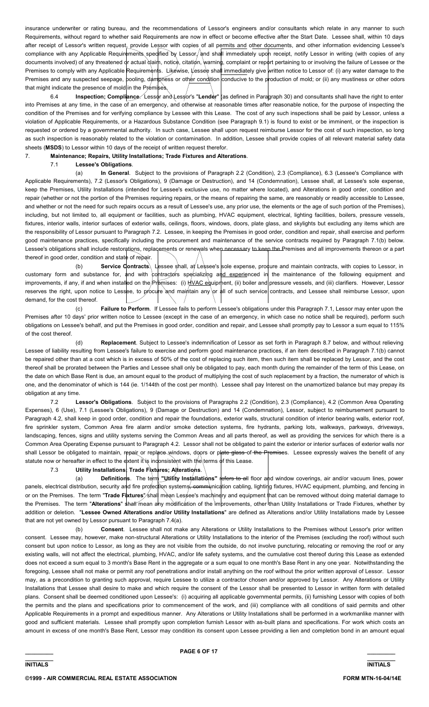insurance underwriter or rating bureau, and the recommendations of Lessor's engineers and/or consultants which relate in any manner to such Requirements, without regard to whether said Requirements are now in effect or become effective after the Start Date. Lessee shall, within 10 days after receipt of Lessor's written request, provide Lessor with copies of all permits and other documents, and other information evidencing Lessee's compliance with any Applicable Requirements specified by Lessor, and shall immediately upon receipt, notify Lessor in writing (with copies of any documents involved) of any threatened or actual daim, notice, citation, warning, complaint or report pertaining to or involving the failure of Lessee or the Premises to comply with any Applicable Requirements. Likewise, Lessee shall immediately give written notice to Lessor of: (i) any water damage to the Premises and any suspected seepage, pooling, dampness or other condition conducive to the production of mold; or (ii) any mustiness or other odors that might indicate the presence of mold in the Premises

 6.4 **Inspection; Compliance**. Lessor and Lessor's "**Lender**" (as defined in Paragraph 30) and consultants shall have the right to enter into Premises at any time, in the case of an emergency, and otherwise at reasonable times after reasonable notice, for the purpose of inspecting the condition of the Premises and for verifying compliance by Lessee with this Lease. The cost of any such inspections shall be paid by Lessor, unless a violation of Applicable Requirements, or a Hazardous Substance Condition (see Paragraph 9.1) is found to exist or be imminent, or the inspection is requested or ordered by a governmental authority. In such case, Lessee shall upon request reimburse Lessor for the cost of such inspection, so long as such inspection is reasonably related to the violation or contamination. In addition, Lessee shall provide copies of all relevant material safety data sheets (**MSDS**) to Lessor within 10 days of the receipt of written request therefor.

# 7. **Maintenance; Repairs, Utility Installations; Trade Fixtures and Alterations**.

# 7.1 **Lessee's Obligations**.

 (a) **In General**. Subject to the provisions of Paragraph 2.2 (Condition), 2.3 (Compliance), 6.3 (Lessee's Compliance with Applicable Requirements), 7.2 (Lessor's Obligations), 9 (Damage or Destruction), and 14 (Condemnation), Lessee shall, at Lessee's sole expense, keep the Premises, Utility Installations (intended for Lessee's exclusive use, no matter where located), and Alterations in good order, condition and repair (whether or not the portion of the Premises requiring repairs, or the means of repairing the same, are reasonably or readily accessible to Lessee, and whether or not the need for such repairs occurs as a result of Lessee's use, any prior use, the elements or the age of such portion of the Premises), including, but not limited to, all equipment or facilities, such as plumbing, HVAC equipment, electrical, lighting facilities, boilers, pressure vessels, fixtures, interior walls, interior surfaces of exterior walls, ceilings, floors, windows, doors, plate glass, and skylights but excluding any items which are the responsibility of Lessor pursuant to Paragraph 7.2. Lessee, in keeping the Premises in good order, condition and repair, shall exercise and perform good maintenance practices, specifically including the procurement and maintenance of the service contracts required by Paragraph 7.1(b) below. Lessee's obligations shall include restorations, replacements or renewals when necessary to keep the Premises and all improvements thereon or a part thereof in good order, condition and state of repair.

(b) **Service Contracts**. Lessee shall, at Lessee's sole expense, produre and maintain contracts, with copies to Lessor, in customary form and substance for, and with contractors specializing and experienced in the maintenance of the following equipment and improvements, if any, if and when installed on the Premises: (i) HVAC equipment, (ii) boiler and pressure vessels, and (iii) clarifiers. However, Lessor reserves the right, upon notice to Lessee, to procure and maintain any or all of such service contracts, and Lessee shall reimburse Lessor, upon demand, for the cost thereof.

 (c) **Failure to Perform**. If Lessee fails to perform Lessee's obligations under this Paragraph 7.1, Lessor may enter upon the Premises after 10 days' prior written notice to Lessee (except in the case of an emergency, in which case no notice shall be required), perform such obligations on Lessee's behalf, and put the Premises in good order, condition and repair, and Lessee shall promptly pay to Lessor a sum equal to 115% of the cost thereof.

 (d) **Replacement**. Subject to Lessee's indemnification of Lessor as set forth in Paragraph 8.7 below, and without relieving Lessee of liability resulting from Lessee's failure to exercise and perform good maintenance practices, if an item described in Paragraph 7.1(b) cannot be repaired other than at a cost which is in excess of 50% of the cost of replacing such item, then such item shall be replaced by Lessor, and the cost thereof shall be prorated between the Parties and Lessee shall only be obligated to pay, each month during the remainder of the term of this Lease, on the date on which Base Rent is due, an amount equal to the product of multiplying the cost of such replacement by a fraction, the numerator of which is one, and the denominator of which is 144 (ie. 1/144th of the cost per month). Lessee shall pay Interest on the unamortized balance but may prepay its obligation at any time.

 7.2 **Lessor's Obligations**. Subject to the provisions of Paragraphs 2.2 (Condition), 2.3 (Compliance), 4.2 (Common Area Operating Expenses), 6 (Use), 7.1 (Lessee's Obligations), 9 (Damage or Destruction) and 14 (Condemnation), Lessor, subject to reimbursement pursuant to Paragraph 4.2, shall keep in good order, condition and repair the foundations, exterior walls, structural condition of interior bearing walls, exterior roof, fire sprinkler system, Common Area fire alarm and/or smoke detection systems, fire hydrants, parking lots, walkways, parkways, driveways, landscaping, fences, signs and utility systems serving the Common Areas and all parts thereof, as well as providing the services for which there is a Common Area Operating Expense pursuant to Paragraph 4.2. Lessor shall not be obligated to paint the exterior or interior surfaces of exterior walls nor shall Lessor be obligated to maintain, repair or replace windows, doors or plate glass of the Premises. Lessee expressly waives the benefit of any statute now or hereafter in effect to the extent it is indonsistent with the terms of this Lease.

# 7.3 **Utility Installations; Trade Fixtures; Alterations**.

(a) **Definitions**. The term **"Utility Installations"** refers to all floor and window coverings, air and/or vacuum lines, power panels, electrical distribution, security and fire protection systems, communication cabling, lighting fixtures, HVAC equipment, plumbing, and fencing in or on the Premises. The term "Trade Fixtures" shall mean Lessee's machinery and equipment that can be removed without doing material damage to the Premises. The term "**Alterations**" shall mean any modification of the improvements, other than Utility Installations or Trade Fixtures, whether by addition or deletion. "**Lessee Owned Alterations and/or Utility Installations**" are defined as Alterations and/or Utility Installations made by Lessee that are not yet owned by Lessor pursuant to Paragraph 7.4(a).

 (b) **Consent**. Lessee shall not make any Alterations or Utility Installations to the Premises without Lessor's prior written consent. Lessee may, however, make non-structural Alterations or Utility Installations to the interior of the Premises (excluding the roof) without such consent but upon notice to Lessor, as long as they are not visible from the outside, do not involve puncturing, relocating or removing the roof or any existing walls, will not affect the electrical, plumbing, HVAC, and/or life safety systems, and the cumulative cost thereof during this Lease as extended does not exceed a sum equal to 3 month's Base Rent in the aggregate or a sum equal to one month's Base Rent in any one year. Notwithstanding the foregoing, Lessee shall not make or permit any roof penetrations and/or install anything on the roof without the prior written approval of Lessor. Lessor may, as a precondition to granting such approval, require Lessee to utilize a contractor chosen and/or approved by Lessor. Any Alterations or Utility Installations that Lessee shall desire to make and which require the consent of the Lessor shall be presented to Lessor in written form with detailed plans. Consent shall be deemed conditioned upon Lessee's: (i) acquiring all applicable governmental permits, (ii) furnishing Lessor with copies of both the permits and the plans and specifications prior to commencement of the work, and (iii) compliance with all conditions of said permits and other Applicable Requirements in a prompt and expeditious manner. Any Alterations or Utility Installations shall be performed in a workmanlike manner with good and sufficient materials. Lessee shall promptly upon completion furnish Lessor with as-built plans and specifications. For work which costs an amount in excess of one month's Base Rent, Lessor may condition its consent upon Lessee providing a lien and completion bond in an amount equal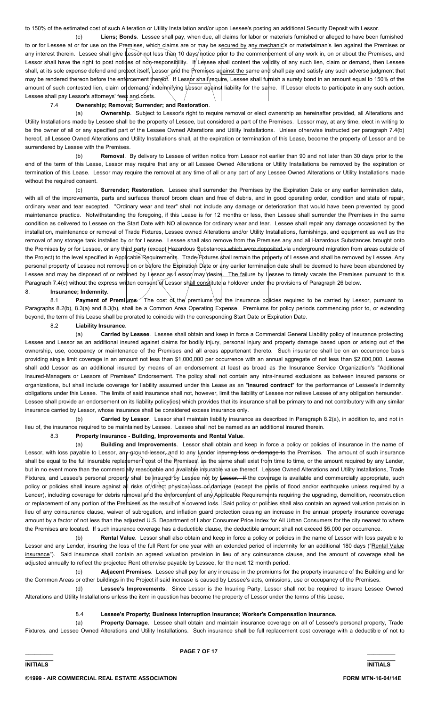to 150% of the estimated cost of such Alteration or Utility Installation and/or upon Lessee's posting an additional Security Deposit with Lessor.

 (c) **Liens; Bonds**. Lessee shall pay, when due, all claims for labor or materials furnished or alleged to have been furnished to or for Lessee at or for use on the Premises, which claims are or may be secured by any mechanic's or materialman's lien against the Premises or any interest therein. Lessee shall give Lessor not less than 10 days notice prior to the commencement of any work in, on or about the Premises, and Lessor shall have the right to post notices of non-responsibility. If Lessee shall contest the validity of any such lien, claim or demand, then Lessee shall, at its sole expense defend and protect itself, Lessor and the Premises against the same and shall pay and satisfy any such adverse judgment that may be rendered thereon before the enforcement thereof. If Lessor shall require, Lessee shall furnish a surety bond in an amount equal to 150% of the amount of such contested lien, claim or demand, indemnifying Lessor against liability for the same. If Lessor elects to participate in any such action, Lessee shall pay Lessor's attorneys' fees and costs.

# 7.4 **Ownership; Removal; Surrender; and Restoration**.

 (a) **Ownership**. Subject to Lessor's right to require removal or elect ownership as hereinafter provided, all Alterations and Utility Installations made by Lessee shall be the property of Lessee, but considered a part of the Premises. Lessor may, at any time, elect in writing to be the owner of all or any specified part of the Lessee Owned Alterations and Utility Installations. Unless otherwise instructed per paragraph 7.4(b) hereof, all Lessee Owned Alterations and Utility Installations shall, at the expiration or termination of this Lease, become the property of Lessor and be surrendered by Lessee with the Premises.

 (b) **Removal**. By delivery to Lessee of written notice from Lessor not earlier than 90 and not later than 30 days prior to the end of the term of this Lease, Lessor may require that any or all Lessee Owned Alterations or Utility Installations be removed by the expiration or termination of this Lease. Lessor may require the removal at any time of all or any part of any Lessee Owned Alterations or Utility Installations made without the required consent.

 (c) **Surrender; Restoration**. Lessee shall surrender the Premises by the Expiration Date or any earlier termination date, with all of the improvements, parts and surfaces thereof broom clean and free of debris, and in good operating order, condition and state of repair, ordinary wear and tear excepted. "Ordinary wear and tear" shall not include any damage or deterioration that would have been prevented by good maintenance practice. Notwithstanding the foregoing, if this Lease is for 12 months or less, then Lessee shall surrender the Premises in the same condition as delivered to Lessee on the Start Date with NO allowance for ordinary wear and tear. Lessee shall repair any damage occasioned by the installation, maintenance or removal of Trade Fixtures, Lessee owned Alterations and/or Utility Installations, furnishings, and equipment as well as the removal of any storage tank installed by or for Lessee. Lessee shall also remove from the Premises any and all Hazardous Substances brought onto the Premises by or for Lessee, or any third party (except Hazardous Substances which were deposited via underground migration from areas outside of the Project) to the level specified in Applicable Requirements. Trade/ Fixtures shall remain the property of Lessee and shall be removed by Lessee. Any personal property of Lessee not removed on or before the Expiration Date or any earlier termination date shall be deemed to have been abandoned by Lessee and may be disposed of or retained by Lessor as Lessor/may desire. The failure by Lessee to timely vacate the Premises pursuant to this Paragraph 7.4(c) without the express written consent of Lessor shall constitute a holdover under the provisions of Paragraph 26 below.

# 8. **Insurance; Indemnity**.

8.1 **Payment of Premiums.** The cost of the premiums for the insurance policies required to be carried by Lessor, pursuant to Paragraphs 8.2(b), 8.3(a) and 8.3(b), shall be a Common Area Operating Expense. Premiums for policy periods commencing prior to, or extending beyond, the term of this Lease shall be prorated to coincide with the corresponding Start Date or Expiration Date.

# 8.2 **Liability Insurance**.

 (a) **Carried by Lessee**. Lessee shall obtain and keep in force a Commercial General Liability policy of insurance protecting Lessee and Lessor as an additional insured against claims for bodily injury, personal injury and property damage based upon or arising out of the ownership, use, occupancy or maintenance of the Premises and all areas appurtenant thereto. Such insurance shall be on an occurrence basis providing single limit coverage in an amount not less than \$1,000,000 per occurrence with an annual aggregate of not less than \$2,000,000. Lessee shall add Lessor as an additional insured by means of an endorsement at least as broad as the Insurance Service Organization's "Additional Insured-Managers or Lessors of Premises" Endorsement. The policy shall not contain any intra-insured exclusions as between insured persons or organizations, but shall include coverage for liability assumed under this Lease as an "**insured contract**" for the performance of Lessee's indemnity obligations under this Lease. The limits of said insurance shall not, however, limit the liability of Lessee nor relieve Lessee of any obligation hereunder. Lessee shall provide an endorsement on its liability policy(ies) which provides that its insurance shall be primary to and not contributory with any similar insurance carried by Lessor, whose insurance shall be considered excess insurance only.

 (b) **Carried by Lessor**. Lessor shall maintain liability insurance as described in Paragraph 8.2(a), in addition to, and not in lieu of, the insurance required to be maintained by Lessee. Lessee shall not be named as an additional insured therein.

# 8.3 **Property Insurance - Building, Improvements and Rental Value**.

 (a) **Building and Improvements**. Lessor shall obtain and keep in force a policy or policies of insurance in the name of Lessor, with loss payable to Lessor, any ground-lessor, and to any Lender insuring loss or damage to the Premises. The amount of such insurance shall be equal to the full insurable replacement cost of the Rremises, as the same shall exist from time to time, or the amount required by any Lender, but in no event more than the commercially reasonable and available in urable value thereof. Lessee Owned Alterations and Utility Installations, Trade Fixtures, and Lessee's personal property shall be insured by Lessee not by Lessor. If the coverage is available and commercially appropriate, such policy or policies shall insure against all risks of/direct physical/loss or damage (except the perils of flood and/or earthquake unless required by a Lender), including coverage for debris removal and the enforcement of any Applicable Requirements requiring the upgrading, demolition, reconstruction or replacement of any portion of the Premises as the result of a covered loss. Said policy or policies shall also contain an agreed valuation provision in lieu of any coinsurance clause, waiver of subrogation, and inflation guard protection causing an increase in the annual property insurance coverage amount by a factor of not less than the adjusted U.S. Department of Labor Consumer Price Index for All Urban Consumers for the city nearest to where the Premises are located. If such insurance coverage has a deductible clause, the deductible amount shall not exceed \$5,000 per occurrence.

 (b) **Rental Value**. Lessor shall also obtain and keep in force a policy or policies in the name of Lessor with loss payable to Lessor and any Lender, insuring the loss of the full Rent for one year with an extended period of indemnity for an additional 180 days ("Rental Value insurance"). Said insurance shall contain an agreed valuation provision in lieu of any coinsurance clause, and the amount of coverage shall be adjusted annually to reflect the projected Rent otherwise payable by Lessee, for the next 12 month period.

 (c) **Adjacent Premises**. Lessee shall pay for any increase in the premiums for the property insurance of the Building and for the Common Areas or other buildings in the Project if said increase is caused by Lessee's acts, omissions, use or occupancy of the Premises.

 (d) **Lessee's Improvements**. Since Lessor is the Insuring Party, Lessor shall not be required to insure Lessee Owned Alterations and Utility Installations unless the item in question has become the property of Lessor under the terms of this Lease.

# 8.4 **Lessee's Property; Business Interruption Insurance; Worker's Compensation Insurance.**

 (a) **Property Damage**. Lessee shall obtain and maintain insurance coverage on all of Lessee's personal property, Trade Fixtures, and Lessee Owned Alterations and Utility Installations. Such insurance shall be full replacement cost coverage with a deductible of not to

**INITIALS INITIALS**

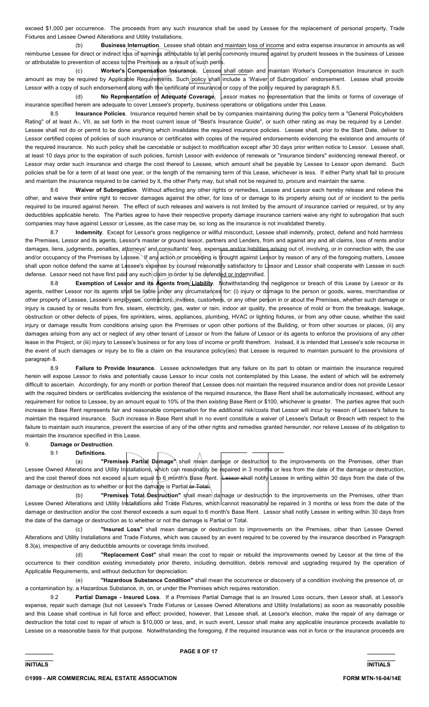exceed \$1,000 per occurrence. The proceeds from any such insurance shall be used by Lessee for the replacement of personal property, Trade Fixtures and Lessee Owned Alterations and Utility Installations.

 (b) **Business Interruption**. Lessee shall obtain and maintain loss of income and extra expense insurance in amounts as will reimburse Lessee for direct or indirect loss of earnings attributable to all perils commonly insured against by prudent lessees in the business of Lessee or attributable to prevention of access to the Premises as a result of such perils

 (c) **Worker's Compensation Insurance.** Lessee shall obtain and maintain Worker's Compensation Insurance in such amount as may be required by Applicable Requirements. Such policy shall include a 'Waiver of Subrogation' endorsement. Lessee shall provide Lessor with a copy of such endorsement along with the certificate of insurance or copy of the policy required by paragraph 8.5.

(d) **No Representation of Adequate Coverage.** Lessor makes no representation that the limits or forms of coverage of insurance specified herein are adequate to cover Lessee's property, business operations or obligations under this Lease.

 8.5 **Insurance Policies**. Insurance required herein shall be by companies maintaining during the policy term a "General Policyholders Rating" of at least A-, VII, as set forth in the most current issue of "Best's Insurance Guide", or such other rating as may be required by a Lender. Lessee shall not do or permit to be done anything which invalidates the required insurance policies. Lessee shall, prior to the Start Date, deliver to Lessor certified copies of policies of such insurance or certificates with copies of the required endorsements evidencing the existence and amounts of the required insurance. No such policy shall be cancelable or subject to modification except after 30 days prior written notice to Lessor. Lessee shall, at least 10 days prior to the expiration of such policies, furnish Lessor with evidence of renewals or "insurance binders" evidencing renewal thereof, or Lessor may order such insurance and charge the cost thereof to Lessee, which amount shall be payable by Lessee to Lessor upon demand. Such policies shall be for a term of at least one year, or the length of the remaining term of this Lease, whichever is less. If either Party shall fail to procure and maintain the insurance required to be carried by it, the other Party may, but shall not be required to, procure and maintain the same.

 8.6 **Waiver of Subrogation**. Without affecting any other rights or remedies, Lessee and Lessor each hereby release and relieve the other, and waive their entire right to recover damages against the other, for loss of or damage to its property arising out of or incident to the perils required to be insured against herein. The effect of such releases and waivers is not limited by the amount of insurance carried or required, or by any deductibles applicable hereto. The Parties agree to have their respective property damage insurance carriers waive any right to subrogation that such companies may have against Lessor or Lessee, as the case may be, so long as the insurance is not invalidated thereby.

 8.7 **Indemnity**. Except for Lessor's gross negligence or willful misconduct, Lessee shall indemnify, protect, defend and hold harmless the Premises, Lessor and its agents, Lessor's master or ground lessor, partners and Lenders, from and against any and all claims, loss of rents and/or damages, liens, judgments, penalties, attorneys' and<sub>r</sub>consultants' fees, expenses and/or liabilities arising out of, involving, or in connection with, the use and/or occupancy of the Premises by Lessee. If any action or proceeding is brought against Lessor by reason of any of the foregoing matters, Lessee shall upon notice defend the same at Lessee's expense by counsel reasonably satisfactory to Lessor and Lessor shall cooperate with Lessee in such defense. Lessor need not have first paid any such claim in order to be defended or indemnified.

8.8 **Exemption of Lessor and its Agents from Liability**. Notwithstanding the negligence or breach of this Lease by Lessor or its agents, neither Lessor nor its agents shall be liable under any circumstances for: (i) injury or damage to the person or goods, wares, merchandise or other property of Lessee, Lessee's employees, contractors, invitees, customers, or any other person in or about the Premises, whether such damage or injury is caused by or results from fire, steam, electricity, gas, water or rain, indoor air quality, the presence of mold or from the breakage, leakage, obstruction or other defects of pipes, fire sprinklers, wires, appliances, plumbing, HVAC or lighting fixtures, or from any other cause, whether the said injury or damage results from conditions arising upon the Premises or upon other portions of the Building, or from other sources or places, (ii) any damages arising from any act or neglect of any other tenant of Lessor or from the failure of Lessor or its agents to enforce the provisions of any other lease in the Project, or (iii) injury to Lessee's business or for any loss of income or profit therefrom. Instead, it is intended that Lessee's sole recourse in the event of such damages or injury be to file a claim on the insurance policy(ies) that Lessee is required to maintain pursuant to the provisions of paragraph 8.

 8.9 **Failure to Provide Insurance.** Lessee acknowledges that any failure on its part to obtain or maintain the insurance required herein will expose Lessor to risks and potentially cause Lessor to incur costs not contemplated by this Lease, the extent of which will be extremely difficult to ascertain. Accordingly, for any month or portion thereof that Lessee does not maintain the required insurance and/or does not provide Lessor with the required binders or certificates evidencing the existence of the required insurance, the Base Rent shall be automatically increased, without any requirement for notice to Lessee, by an amount equal to 10% of the then existing Base Rent or \$100, whichever is greater. The parties agree that such increase in Base Rent represents fair and reasonable compensation for the additional risk/costs that Lessor will incur by reason of Lessee's failure to maintain the required insurance. Such increase in Base Rent shall in no event constitute a waiver of Lessee's Default or Breach with respect to the failure to maintain such insurance, prevent the exercise of any of the other rights and remedies granted hereunder, nor relieve Lessee of its obligation to maintain the insurance specified in this Lease.

### 9. **Damage or Destruction**.

#### 9.1 **Definitions**.

(a) **"Premises Partial Damage**" shall mean damage or destruction to the improvements on the Premises, other than Lessee Owned Alterations and Utility Installations, which can reasonably be repaired in 3 months or less from the date of the damage or destruction, and the cost thereof does not exceed a sum equal to 6 month's  $\beta$ ase Rent. Lessor shall notify Lessee in writing within 30 days from the date of the damage or destruction as to whether or not the damage is Partial or Total

(b) **"Premises Total bestruction"** shall mean da mage or destruction to the improvements on the Premises, other than Lessee Owned Alterations and Utility Installations and Trade Fixtures, which cannot reasonably be repaired in 3 months or less from the date of the damage or destruction and/or the cost thereof exceeds a sum equal to 6 month's Base Rent. Lessor shall notify Lessee in writing within 30 days from the date of the damage or destruction as to whether or not the damage is Partial or Total.

 (c) **"Insured Loss"** shall mean damage or destruction to improvements on the Premises, other than Lessee Owned Alterations and Utility Installations and Trade Fixtures, which was caused by an event required to be covered by the insurance described in Paragraph 8.3(a), irrespective of any deductible amounts or coverage limits involved.

 (d) **"Replacement Cost"** shall mean the cost to repair or rebuild the improvements owned by Lessor at the time of the occurrence to their condition existing immediately prior thereto, including demolition, debris removal and upgrading required by the operation of Applicable Requirements, and without deduction for depreciation.

 (e) **"Hazardous Substance Condition"** shall mean the occurrence or discovery of a condition involving the presence of, or a contamination by, a Hazardous Substance, in, on, or under the Premises which requires restoration.

 9.2 **Partial Damage - Insured Loss**. If a Premises Partial Damage that is an Insured Loss occurs, then Lessor shall, at Lessor's expense, repair such damage (but not Lessee's Trade Fixtures or Lessee Owned Alterations and Utility Installations) as soon as reasonably possible and this Lease shall continue in full force and effect; provided, however, that Lessee shall, at Lessor's election, make the repair of any damage or destruction the total cost to repair of which is \$10,000 or less, and, in such event, Lessor shall make any applicable insurance proceeds available to Lessee on a reasonable basis for that purpose. Notwithstanding the foregoing, if the required insurance was not in force or the insurance proceeds are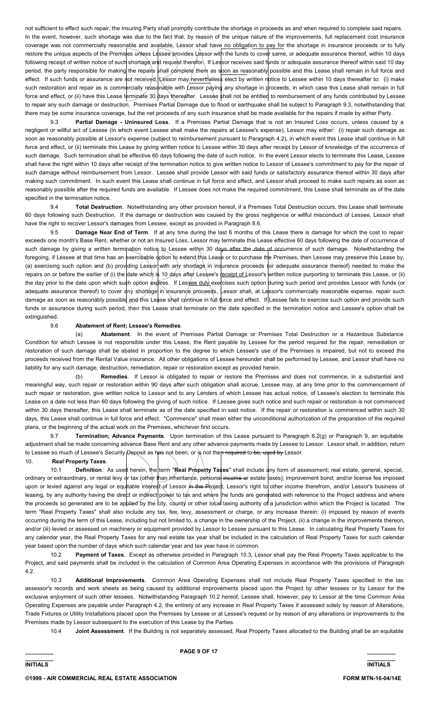not sufficient to effect such repair, the Insuring Party shall promptly contribute the shortage in proceeds as and when required to complete said repairs. In the event, however, such shortage was due to the fact that, by reason of the unique nature of the improvements, full replacement cost insurance coverage was not commercially reasonable and available, Lessor shall have no obligation to pay for the shortage in insurance proceeds or to fully restore the unique aspects of the Premises unless Lessee provides Lessor with the funds to cover same, or adequate assurance thereof, within 10 days following receipt of written notice of such shortage and request therefor. If Lessor receives said funds or adequate assurance thereof within said 10 day period, the party responsible for making the repairs shall complete them as soon as reasonably possible and this Lease shall remain in full force and effect. If such funds or assurance are not received, Lessor may nevertheless elect by written notice to Lessee within 10 days thereafter to: (i) make such restoration and repair as is commercially reasonable with Lessor paying any shortage in proceeds, in which case this Lease shall remain in full force and effect, or (ii) have this Lease terminate 30 days thereafter. Lessee shall not be entitled to reimbursement of any funds contributed by Lessee to repair any such damage or destruction. Premises Partial Damage due to flood or earthquake shall be subject to Paragraph 9.3, notwithstanding that there may be some insurance coverage, but the net proceeds of any such insurance shall be made available for the repairs if made by either Party.

 9.3 **Partial Damage - Uninsured Loss**. If a Premises Partial Damage that is not an Insured Loss occurs, unless caused by a negligent or willful act of Lessee (in which event Lessee shall make the repairs at Lessee's expense), Lessor may either: (i) repair such damage as soon as reasonably possible at Lessor's expense (subject to reimbursement pursuant to Paragraph 4.2), in which event this Lease shall continue in full force and effect, or (ii) terminate this Lease by giving written notice to Lessee within 30 days after receipt by Lessor of knowledge of the occurrence of such damage. Such termination shall be effective 60 days following the date of such notice. In the event Lessor elects to terminate this Lease, Lessee shall have the right within 10 days after receipt of the termination notice to give written notice to Lessor of Lessee's commitment to pay for the repair of such damage without reimbursement from Lessor. Lessee shall provide Lessor with said funds or satisfactory assurance thereof within 30 days after making such commitment. In such event this Lease shall continue in full force and effect, and Lessor shall proceed to make such repairs as soon as reasonably possible after the required funds are available. If Lessee does not make the required commitment, this Lease shall terminate as of the date specified in the termination notice.

 9.4 **Total Destruction**. Notwithstanding any other provision hereof, if a Premises Total Destruction occurs, this Lease shall terminate 60 days following such Destruction. If the damage or destruction was caused by the gross negligence or willful misconduct of Lessee, Lessor shall have the right to recover Lessor's damages from Lessee, except as provided in Paragraph 8.6.

 9.5 **Damage Near End of Term**. If at any time during the last 6 months of this Lease there is damage for which the cost to repair exceeds one month's Base Rent, whether or not an Insured Loss, Lessor may terminate this Lease effective 60 days following the date of occurrence of such damage by giving a written termination notice to Lessee within 30 days after the date of occurrence of such damage. Notwithstanding the foregoing, if Lessee at that time has an exercisable option to extend this Lease or to purchase the Premises, then Lessee may preserve this Lease by, (a) exercising such option and (b) providing Lessor with any shortage in insurance proceeds (or adequate assurance thereof) needed to make the repairs on or before the earlier of (i) the date which is 10 days after Lessee's receipt of Lessor's written notice purporting to terminate this Lease, or (ii) the day prior to the date upon which such option expires. If Lessee duly exercises such option during such period and provides Lessor with funds (or adequate assurance thereof) to cover any shortage in insurance proceeds, Lessor shall, at Lessor's commercially reasonable expense, repair such damage as soon as reasonably possible and this Lease shall continue in full force and effect. If Lessee fails to exercise such option and provide such funds or assurance during such period, then this Lease shall terminate on the date specified in the termination notice and Lessee's option shall be extinguished.

### 9.6 **Abatement of Rent; Lessee's Remedies**.

 (a) **Abatement**. In the event of Premises Partial Damage or Premises Total Destruction or a Hazardous Substance Condition for which Lessee is not responsible under this Lease, the Rent payable by Lessee for the period required for the repair, remediation or restoration of such damage shall be abated in proportion to the degree to which Lessee's use of the Premises is impaired, but not to exceed the proceeds received from the Rental Value insurance. All other obligations of Lessee hereunder shall be performed by Lessee, and Lessor shall have no liability for any such damage, destruction, remediation, repair or restoration except as provided herein.

 (b) **Remedies**. If Lessor is obligated to repair or restore the Premises and does not commence, in a substantial and meaningful way, such repair or restoration within 90 days after such obligation shall accrue, Lessee may, at any time prior to the commencement of such repair or restoration, give written notice to Lessor and to any Lenders of which Lessee has actual notice, of Lessee's election to terminate this Lease on a date not less than 60 days following the giving of such notice. If Lessee gives such notice and such repair or restoration is not commenced within 30 days thereafter, this Lease shall terminate as of the date specified in said notice. If the repair or restoration is commenced within such 30 days, this Lease shall continue in full force and effect. "Commence" shall mean either the unconditional authorization of the preparation of the required plans, or the beginning of the actual work on the Premises, whichever first occurs.

 9.7 **Termination; Advance Payments**. Upon termination of this Lease pursuant to Paragraph 6.2(g) or Paragraph 9, an equitable adjustment shall be made concerning advance Base Rent and any other advance payments made by Lessee to Lessor. Lessor shall, in addition, return to Lessee so much of Lessee's Security Deposit as has not been, or is not then required to be, used by Lessor.

# 10. **Real Property Taxes**.

10.1 **Definition**. As used herein, the term "**Real Property Taxes**" shall include any form of assessment; real estate, general, special, ordinary or extraordinary, or rental levy or tax (other than inheritance, personal income or estate taxes); improvement bond; and/or license fee imposed upon or levied against any legal or equitable interest of Lessor in the Project, Lessor's right to other income therefrom, and/or Lessor's business of leasing, by any authority having the direct or indirect power to tax and where the funds are generated with reference to the Project address and where the proceeds so generated are to be applied by the city, county or other local taxing authority of a jurisdiction within which the Project is located. The term "Real Property Taxes" shall also include any tax, fee, levy, assessment or charge, or any increase therein: (i) imposed by reason of events occurring during the term of this Lease, including but not limited to, a change in the ownership of the Project, (ii) a change in the improvements thereon, and/or (iii) levied or assessed on machinery or equipment provided by Lessor to Lessee pursuant to this Lease. In calculating Real Property Taxes for any calendar year, the Real Property Taxes for any real estate tax year shall be included in the calculation of Real Property Taxes for such calendar year based upon the number of days which such calendar year and tax year have in common.

 10.2 **Payment of Taxes**. Except as otherwise provided in Paragraph 10.3, Lessor shall pay the Real Property Taxes applicable to the Project, and said payments shall be included in the calculation of Common Area Operating Expenses in accordance with the provisions of Paragraph 4.2.

 10.3 **Additional Improvements**. Common Area Operating Expenses shall not include Real Property Taxes specified in the tax assessor's records and work sheets as being caused by additional improvements placed upon the Project by other lessees or by Lessor for the exclusive enjoyment of such other lessees. Notwithstanding Paragraph 10.2 hereof, Lessee shall, however, pay to Lessor at the time Common Area Operating Expenses are payable under Paragraph 4.2, the entirety of any increase in Real Property Taxes if assessed solely by reason of Alterations, Trade Fixtures or Utility Installations placed upon the Premises by Lessee or at Lessee's request or by reason of any alterations or improvements to the Premises made by Lessor subsequent to the execution of this Lease by the Parties.

10.4 **Joint Assessment**. If the Building is not separately assessed, Real Property Taxes allocated to the Building shall be an equitable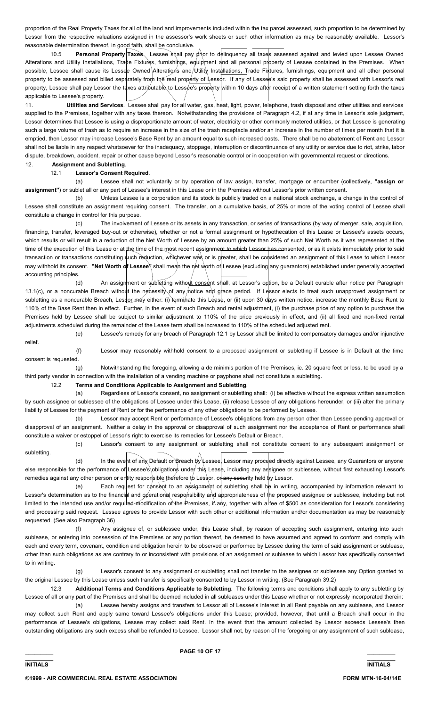proportion of the Real Property Taxes for all of the land and improvements included within the tax parcel assessed, such proportion to be determined by Lessor from the respective valuations assigned in the assessor's work sheets or such other information as may be reasonably available. Lessor's reasonable determination thereof, in good faith, shall be conclusive.

10.5 **Personal Property Taxes**. Lessee shall pay prior to delinquency all taxes assessed against and levied upon Lessee Owned Alterations and Utility Installations, Trade Fixtures, furnishings, equipment and all personal property of Lessee contained in the Premises. When possible, Lessee shall cause its Lessee Owned Alterations and/Utility Installations, Trade Fixtures, furnishings, equipment and all other personal property to be assessed and billed separately from the real property of Lessor. If any of Lessee's said property shall be assessed with Lessor's real property, Lessee shall pay Lessor the taxes attributable to Lessee's property within 10 days after receipt of a written statement setting forth the taxes applicable to Lessee's property.

11. **Utilities and Services**. Lessee shall pay for all water, gas, heat, light, power, telephone, trash disposal and other utilities and services supplied to the Premises, together with any taxes thereon. Notwithstanding the provisions of Paragraph 4.2, if at any time in Lessor's sole judgment, Lessor determines that Lessee is using a disproportionate amount of water, electricity or other commonly metered utilities, or that Lessee is generating such a large volume of trash as to require an increase in the size of the trash receptacle and/or an increase in the number of times per month that it is emptied, then Lessor may increase Lessee's Base Rent by an amount equal to such increased costs. There shall be no abatement of Rent and Lessor shall not be liable in any respect whatsoever for the inadequacy, stoppage, interruption or discontinuance of any utility or service due to riot, strike, labor dispute, breakdown, accident, repair or other cause beyond Lessor's reasonable control or in cooperation with governmental request or directions.

# 12. **Assignment and Subletting**.

# 12.1 **Lessor's Consent Required**.

 (a) Lessee shall not voluntarily or by operation of law assign, transfer, mortgage or encumber (collectively, **"assign or assignment"**) or sublet all or any part of Lessee's interest in this Lease or in the Premises without Lessor's prior written consent.

 (b) Unless Lessee is a corporation and its stock is publicly traded on a national stock exchange, a change in the control of Lessee shall constitute an assignment requiring consent. The transfer, on a cumulative basis, of 25% or more of the voting control of Lessee shall constitute a change in control for this purpose.

 (c) The involvement of Lessee or its assets in any transaction, or series of transactions (by way of merger, sale, acquisition, financing, transfer, leveraged buy-out or otherwise), whether or not a formal assignment or hypothecation of this Lease or Lessee's assets occurs, which results or will result in a reduction of the Net Worth of Lessee by an amount greater than 25% of such Net Worth as it was represented at the time of the execution of this Lease or at the time of the most recent assignment to which Lessor has consented, or as it exists immediately prior to said transaction or transactions constituting such reduction, whichever was or is greater, shall be considered an assignment of this Lease to which Lessor may withhold its consent. "Net Worth of Lessee" shall mean the net worth of Lessee (excluding any guarantors) established under generally accepted accounting principles.

(d) An assignment or subletting without consent shall, at Lessor's option, be a Default curable after notice per Paragraph 13.1(c), or a noncurable Breach without the necessity of any notice and grace period. If Lessor elects to treat such unapproved assignment or subletting as a noncurable Breach, Lessor may either: (i) terminate this Lease, or (ii) upon 30 days written notice, increase the monthly Base Rent to 110% of the Base Rent then in effect. Further, in the event of such Breach and rental adjustment, (i) the purchase price of any option to purchase the Premises held by Lessee shall be subject to similar adjustment to 110% of the price previously in effect, and (ii) all fixed and non-fixed rental adjustments scheduled during the remainder of the Lease term shall be increased to 110% of the scheduled adjusted rent.

relief.

 (f) Lessor may reasonably withhold consent to a proposed assignment or subletting if Lessee is in Default at the time consent is requested.

(e) Lessee's remedy for any breach of Paragraph 12.1 by Lessor shall be limited to compensatory damages and/or injunctive

 (g) Notwithstanding the foregoing, allowing a de minimis portion of the Premises, ie. 20 square feet or less, to be used by a third party vendor in connection with the installation of a vending machine or payphone shall not constitute a subletting.

#### 12.2 **Terms and Conditions Applicable to Assignment and Subletting**.

 (a) Regardless of Lessor's consent, no assignment or subletting shall: (i) be effective without the express written assumption by such assignee or sublessee of the obligations of Lessee under this Lease, (ii) release Lessee of any obligations hereunder, or (iii) alter the primary liability of Lessee for the payment of Rent or for the performance of any other obligations to be performed by Lessee.

 (b) Lessor may accept Rent or performance of Lessee's obligations from any person other than Lessee pending approval or disapproval of an assignment. Neither a delay in the approval or disapproval of such assignment nor the acceptance of Rent or performance shall constitute a waiver or estoppel of Lessor's right to exercise its remedies for Lessee's Default or Breach.

 (c) Lessor's consent to any assignment or subletting shall not constitute consent to any subsequent assignment or subletting.

(d) In the event of any Default or Breach by Lessee, Lessor may proceed directly against Lessee, any Guarantors or anyone else responsible for the performance of Lessee's obligations under this Lease, including any assignee or sublessee, without first exhausting Lessor's remedies against any other person or entity responsible therefore to Lessor, or any security held by Lessor.

(e) Each request for consent to an assignment or subletting shall be in writing, accompanied by information relevant to Lessor's determination as to the financial and operational responsibility and appropriateness of the proposed assignee or sublessee, including but not limited to the intended use and/or required modification of the Premises, in any, together with a fee of \$500 as consideration for Lessor's considering and processing said request. Lessee agrees to provide Lessor with such other or additional information and/or documentation as may be reasonably requested. (See also Paragraph 36)

 (f) Any assignee of, or sublessee under, this Lease shall, by reason of accepting such assignment, entering into such sublease, or entering into possession of the Premises or any portion thereof, be deemed to have assumed and agreed to conform and comply with each and every term, covenant, condition and obligation herein to be observed or performed by Lessee during the term of said assignment or sublease, other than such obligations as are contrary to or inconsistent with provisions of an assignment or sublease to which Lessor has specifically consented to in writing.

 (g) Lessor's consent to any assignment or subletting shall not transfer to the assignee or sublessee any Option granted to the original Lessee by this Lease unless such transfer is specifically consented to by Lessor in writing. (See Paragraph 39.2)

 12.3 **Additional Terms and Conditions Applicable to Subletting**. The following terms and conditions shall apply to any subletting by Lessee of all or any part of the Premises and shall be deemed included in all subleases under this Lease whether or not expressly incorporated therein: (a) Lessee hereby assigns and transfers to Lessor all of Lessee's interest in all Rent payable on any sublease, and Lessor may collect such Rent and apply same toward Lessee's obligations under this Lease; provided, however, that until a Breach shall occur in the performance of Lessee's obligations, Lessee may collect said Rent. In the event that the amount collected by Lessor exceeds Lessee's then outstanding obligations any such excess shall be refunded to Lessee. Lessor shall not, by reason of the foregoing or any assignment of such sublease,

**\_\_\_\_\_\_\_\_\_ \_\_\_\_\_\_\_\_\_ INITIALS INITIALS**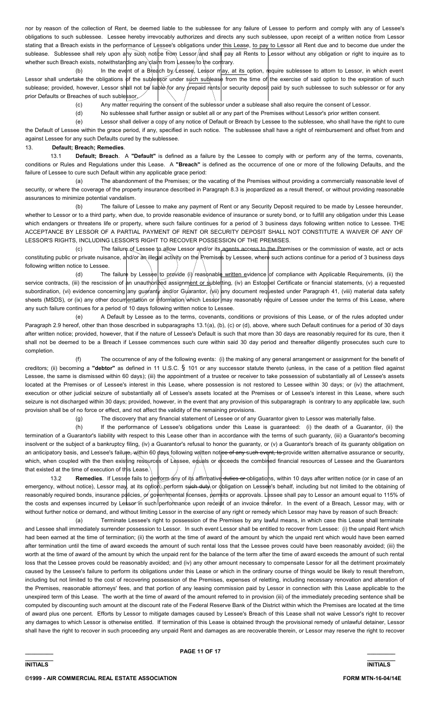nor by reason of the collection of Rent, be deemed liable to the sublessee for any failure of Lessee to perform and comply with any of Lessee's obligations to such sublessee. Lessee hereby irrevocably authorizes and directs any such sublessee, upon receipt of a written notice from Lessor stating that a Breach exists in the performance of Lessee's obligations under this Lease, to pay to Lessor all Rent due and to become due under the sublease. Sublessee shall rely upon any such notice from Lessor/and shall pay all Rents to Lessor without any obligation or right to inquire as to whether such Breach exists, notwithstanding any claim from Lessee/to the contrary.

(b) In the event of a Breach by Lessee, Lessor may, at its option, require sublessee to attorn to Lessor, in which event Lessor shall undertake the obligations of the sublessor under such sublease from the time of the exercise of said option to the expiration of such sublease; provided, however, Lessor shall not be liable for any prepaid rents or security deposit paid by such sublessee to such sublessor or for any prior Defaults or Breaches of such sublessor.

(c) Any matter requiring the consent of the sublessor under a sublease shall also require the consent of Lessor.

(d) No sublessee shall further assign or sublet all or any part of the Premises without Lessor's prior written consent.

 (e) Lessor shall deliver a copy of any notice of Default or Breach by Lessee to the sublessee, who shall have the right to cure the Default of Lessee within the grace period, if any, specified in such notice. The sublessee shall have a right of reimbursement and offset from and against Lessee for any such Defaults cured by the sublessee.

### 13. **Default; Breach; Remedies**.

 13.1 **Default; Breach**. A **"Default"** is defined as a failure by the Lessee to comply with or perform any of the terms, covenants, conditions or Rules and Regulations under this Lease. A **"Breach"** is defined as the occurrence of one or more of the following Defaults, and the failure of Lessee to cure such Default within any applicable grace period:

 (a) The abandonment of the Premises; or the vacating of the Premises without providing a commercially reasonable level of security, or where the coverage of the property insurance described in Paragraph 8.3 is jeopardized as a result thereof, or without providing reasonable assurances to minimize potential vandalism.

 (b) The failure of Lessee to make any payment of Rent or any Security Deposit required to be made by Lessee hereunder, whether to Lessor or to a third party, when due, to provide reasonable evidence of insurance or surety bond, or to fulfill any obligation under this Lease which endangers or threatens life or property, where such failure continues for a period of 3 business days following written notice to Lessee. THE ACCEPTANCE BY LESSOR OF A PARTIAL PAYMENT OF RENT OR SECURITY DEPOSIT SHALL NOT CONSTITUTE A WAIVER OF ANY OF LESSOR'S RIGHTS, INCLUDING LESSOR'S RIGHT TO RECOVER POSSESSION OF THE PREMISES.

(c) The failure of Lessee to allow Lessor and/or its agents access to the Premises or the commission of waste, act or acts constituting public or private nuisance, and/or an illegal activity on the Premises by Lessee, where such actions continue for a period of 3 business days following written notice to Lessee.

(d) The failure by Lessee to provide (i) reasonable written evidence of compliance with Applicable Requirements, (ii) the service contracts, (iii) the rescission of an unauthorized assignment or subletting, (iv) an Estoppel Certificate or financial statements, (v) a requested subordination, (vi) evidence concerning any guaranty and/or Guarantor, (vii) any document requested under Paragraph 41, (viii) material data safety sheets (MSDS), or (ix) any other documentation or information/which Lessor may reasonably require of Lessee under the terms of this Lease, where any such failure continues for a period of 10 days following written notice to Lessee.

 (e) A Default by Lessee as to the terms, covenants, conditions or provisions of this Lease, or of the rules adopted under Paragraph 2.9 hereof, other than those described in subparagraphs 13.1(a), (b), (c) or (d), above, where such Default continues for a period of 30 days after written notice; provided, however, that if the nature of Lessee's Default is such that more than 30 days are reasonably required for its cure, then it shall not be deemed to be a Breach if Lessee commences such cure within said 30 day period and thereafter diligently prosecutes such cure to completion.

 (f) The occurrence of any of the following events: (i) the making of any general arrangement or assignment for the benefit of creditors; (ii) becoming a **"debtor"** as defined in 11 U.S.C. § 101 or any successor statute thereto (unless, in the case of a petition filed against Lessee, the same is dismissed within 60 days); (iii) the appointment of a trustee or receiver to take possession of substantially all of Lessee's assets located at the Premises or of Lessee's interest in this Lease, where possession is not restored to Lessee within 30 days; or (iv) the attachment, execution or other judicial seizure of substantially all of Lessee's assets located at the Premises or of Lessee's interest in this Lease, where such seizure is not discharged within 30 days; provided, however, in the event that any provision of this subparagraph is contrary to any applicable law, such provision shall be of no force or effect, and not affect the validity of the remaining provisions.

The discovery that any financial statement of Lessee or of any Guarantor given to Lessor was materially false.

 (h) If the performance of Lessee's obligations under this Lease is guaranteed: (i) the death of a Guarantor, (ii) the termination of a Guarantor's liability with respect to this Lease other than in accordance with the terms of such guaranty, (iii) a Guarantor's becoming insolvent or the subject of a bankruptcy filing, (iv) a Guarantor's refusal to honor the guaranty, or (v) a Guarantor's breach of its guaranty obligation on an anticipatory basis, and Lessee's failure, within 60 days following written notice of any such event, to provide written alternative assurance or security, which, when coupled with the then existing resources of Lessee, equals or exceeds the combined financial resources of Lessee and the Guarantors that existed at the time of execution of this Lease.

13.2 **Remedies**. If Lessee fails to perform any of its affirmative duties or obligations, within 10 days after written notice (or in case of an emergency, without notice), Lessor may, at its option, perform such duty or obligation on Lessee's behalf, including but not limited to the obtaining of reasonably required bonds, insurance policies, or governmental licenses, permits or approvals. Lessee shall pay to Lessor an amount equal to 115% of the costs and expenses incurred by Lessor in such performance upon receipt of an invoice therefor. In the event of a Breach, Lessor may, with or without further notice or demand, and without limiting Lessor in the exercise of any right or remedy which Lessor may have by reason of such Breach:

 (a) Terminate Lessee's right to possession of the Premises by any lawful means, in which case this Lease shall terminate and Lessee shall immediately surrender possession to Lessor. In such event Lessor shall be entitled to recover from Lessee: (i) the unpaid Rent which had been earned at the time of termination; (ii) the worth at the time of award of the amount by which the unpaid rent which would have been earned after termination until the time of award exceeds the amount of such rental loss that the Lessee proves could have been reasonably avoided; (iii) the worth at the time of award of the amount by which the unpaid rent for the balance of the term after the time of award exceeds the amount of such rental loss that the Lessee proves could be reasonably avoided; and (iv) any other amount necessary to compensate Lessor for all the detriment proximately caused by the Lessee's failure to perform its obligations under this Lease or which in the ordinary course of things would be likely to result therefrom, including but not limited to the cost of recovering possession of the Premises, expenses of reletting, including necessary renovation and alteration of the Premises, reasonable attorneys' fees, and that portion of any leasing commission paid by Lessor in connection with this Lease applicable to the unexpired term of this Lease. The worth at the time of award of the amount referred to in provision (iii) of the immediately preceding sentence shall be computed by discounting such amount at the discount rate of the Federal Reserve Bank of the District within which the Premises are located at the time of award plus one percent. Efforts by Lessor to mitigate damages caused by Lessee's Breach of this Lease shall not waive Lessor's right to recover any damages to which Lessor is otherwise entitled. If termination of this Lease is obtained through the provisional remedy of unlawful detainer, Lessor shall have the right to recover in such proceeding any unpaid Rent and damages as are recoverable therein, or Lessor may reserve the right to recover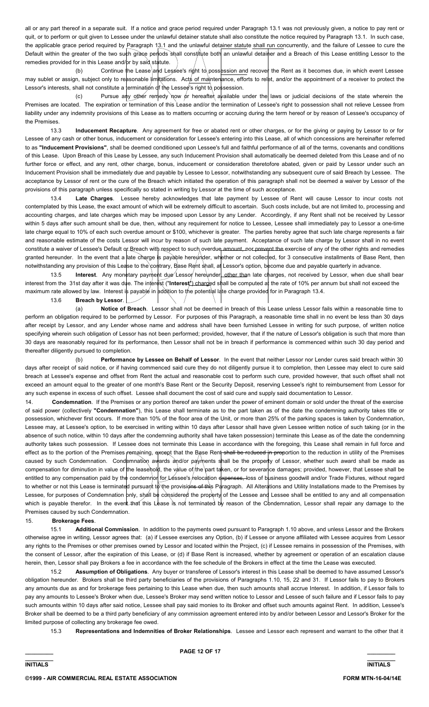all or any part thereof in a separate suit. If a notice and grace period required under Paragraph 13.1 was not previously given, a notice to pay rent or quit, or to perform or quit given to Lessee under the unlawful detainer statute shall also constitute the notice required by Paragraph 13.1. In such case, the applicable grace period required by Paragraph 13.1 and the unlawful detainer statute shall run concurrently, and the failure of Lessee to cure the Default within the greater of the two such grace periods shall constitute both an unlawful detainer and a Breach of this Lease entitling Lessor to the remedies provided for in this Lease and/or by said statute.

(b) Continue the Lease and Lessee's right to possession and recover the Rent as it becomes due, in which event Lessee may sublet or assign, subject only to reasonable limitations. Acts of maintenance, efforts to relet, and/or the appointment of a receiver to protect the Lessor's interests, shall not constitute a termination of the Lessee's right to possession.

(c) Pursue any other remedy now or hereaften available under the laws or judicial decisions of the state wherein the Premises are located. The expiration or termination of this Lease and/or the termination of Lessee's right to possession shall not relieve Lessee from liability under any indemnity provisions of this Lease as to matters occurring or accruing during the term hereof or by reason of Lessee's occupancy of the Premises.

 13.3 **Inducement Recapture**. Any agreement for free or abated rent or other charges, or for the giving or paying by Lessor to or for Lessee of any cash or other bonus, inducement or consideration for Lessee's entering into this Lease, all of which concessions are hereinafter referred to as **"Inducement Provisions"**, shall be deemed conditioned upon Lessee's full and faithful performance of all of the terms, covenants and conditions of this Lease. Upon Breach of this Lease by Lessee, any such Inducement Provision shall automatically be deemed deleted from this Lease and of no further force or effect, and any rent, other charge, bonus, inducement or consideration theretofore abated, given or paid by Lessor under such an Inducement Provision shall be immediately due and payable by Lessee to Lessor, notwithstanding any subsequent cure of said Breach by Lessee. The acceptance by Lessor of rent or the cure of the Breach which initiated the operation of this paragraph shall not be deemed a waiver by Lessor of the provisions of this paragraph unless specifically so stated in writing by Lessor at the time of such acceptance.

 13.4 **Late Charges**. Lessee hereby acknowledges that late payment by Lessee of Rent will cause Lessor to incur costs not contemplated by this Lease, the exact amount of which will be extremely difficult to ascertain. Such costs include, but are not limited to, processing and accounting charges, and late charges which may be imposed upon Lessor by any Lender. Accordingly, if any Rent shall not be received by Lessor within 5 days after such amount shall be due, then, without any requirement for notice to Lessee, Lessee shall immediately pay to Lessor a one-time late charge equal to 10% of each such overdue amount or \$100, whichever is greater. The parties hereby agree that such late charge represents a fair and reasonable estimate of the costs Lessor will incur by reason of such late payment. Acceptance of such late charge by Lessor shall in no event constitute a waiver of Lessee's Default or Breach with respect to such overdue amount, nor prevent the exercise of any of the other rights and remedies granted hereunder. In the event that a late charge is payable hereunder, whether or not collected, for 3 consecutive installments of Base Rent, then notwithstanding any provision of this Lease to the contrary, Base Rent shall, at Lessor's option, become due and payable quarterly in advance.

13.5 **Interest**. Any monetary payment due Lessor hereunder, other than late charges, not received by Lessor, when due shall bear interest from the 31st day after it was due. The interest ("**Interest**") charged shall be computed at the rate of 10% per annum but shall not exceed the maximum rate allowed by law. Interest is payable in addition to the potential late charge provided for in Paragraph 13.4.

13.6 **Breach by Lessor**.

 (a) **Notice of Breach**. Lessor shall not be deemed in breach of this Lease unless Lessor fails within a reasonable time to perform an obligation required to be performed by Lessor. For purposes of this Paragraph, a reasonable time shall in no event be less than 30 days after receipt by Lessor, and any Lender whose name and address shall have been furnished Lessee in writing for such purpose, of written notice specifying wherein such obligation of Lessor has not been performed; provided, however, that if the nature of Lessor's obligation is such that more than 30 days are reasonably required for its performance, then Lessor shall not be in breach if performance is commenced within such 30 day period and thereafter diligently pursued to completion.

 (b) **Performance by Lessee on Behalf of Lessor**. In the event that neither Lessor nor Lender cures said breach within 30 days after receipt of said notice, or if having commenced said cure they do not diligently pursue it to completion, then Lessee may elect to cure said breach at Lessee's expense and offset from Rent the actual and reasonable cost to perform such cure, provided however, that such offset shall not exceed an amount equal to the greater of one month's Base Rent or the Security Deposit, reserving Lessee's right to reimbursement from Lessor for any such expense in excess of such offset. Lessee shall document the cost of said cure and supply said documentation to Lessor.

14. **Condemnation**. If the Premises or any portion thereof are taken under the power of eminent domain or sold under the threat of the exercise of said power (collectively **"Condemnation"**), this Lease shall terminate as to the part taken as of the date the condemning authority takes title or possession, whichever first occurs. If more than 10% of the floor area of the Unit, or more than 25% of the parking spaces is taken by Condemnation, Lessee may, at Lessee's option, to be exercised in writing within 10 days after Lessor shall have given Lessee written notice of such taking (or in the absence of such notice, within 10 days after the condemning authority shall have taken possession) terminate this Lease as of the date the condemning authority takes such possession. If Lessee does not terminate this Lease in accordance with the foregoing, this Lease shall remain in full force and effect as to the portion of the Premises remaining, except that the Base Rent shall be reduced in proportion to the reduction in utility of the Premises caused by such Condemnation. Condemnation awards and/or payments shall be the property of Lessor, whether such award shall be made as compensation for diminution in value of the leasehold, the value of/the part taken, or for severance damages; provided, however, that Lessee shall be entitled to any compensation paid by the condemnor for Lessee's/relocation expenses, loss of business goodwill and/or Trade Fixtures, without regard to whether or not this Lease is terminated pursuant to the provisions of this Paragraph. All Alterations and Utility Installations made to the Premises by Lessee, for purposes of Condemnation only, shall be considered the property of the Lessee and Lessee shall be entitled to any and all compensation which is payable therefor. In the event that this Lease is not terminated by reason of the Condemnation, Lessor shall repair any damage to the Premises caused by such Condemnation.

### 15. **Brokerage Fees**.

 15.1 **Additional Commission**. In addition to the payments owed pursuant to Paragraph 1.10 above, and unless Lessor and the Brokers otherwise agree in writing, Lessor agrees that: (a) if Lessee exercises any Option, (b) if Lessee or anyone affiliated with Lessee acquires from Lessor any rights to the Premises or other premises owned by Lessor and located within the Project, (c) if Lessee remains in possession of the Premises, with the consent of Lessor, after the expiration of this Lease, or (d) if Base Rent is increased, whether by agreement or operation of an escalation clause herein, then, Lessor shall pay Brokers a fee in accordance with the fee schedule of the Brokers in effect at the time the Lease was executed

 15.2 **Assumption of Obligations**. Any buyer or transferee of Lessor's interest in this Lease shall be deemed to have assumed Lessor's obligation hereunder. Brokers shall be third party beneficiaries of the provisions of Paragraphs 1.10, 15, 22 and 31. If Lessor fails to pay to Brokers any amounts due as and for brokerage fees pertaining to this Lease when due, then such amounts shall accrue Interest. In addition, if Lessor fails to pay any amounts to Lessee's Broker when due, Lessee's Broker may send written notice to Lessor and Lessee of such failure and if Lessor fails to pay such amounts within 10 days after said notice, Lessee shall pay said monies to its Broker and offset such amounts against Rent. In addition, Lessee's Broker shall be deemed to be a third party beneficiary of any commission agreement entered into by and/or between Lessor and Lessor's Broker for the limited purpose of collecting any brokerage fee owed.

15.3 **Representations and Indemnities of Broker Relationships**. Lessee and Lessor each represent and warrant to the other that it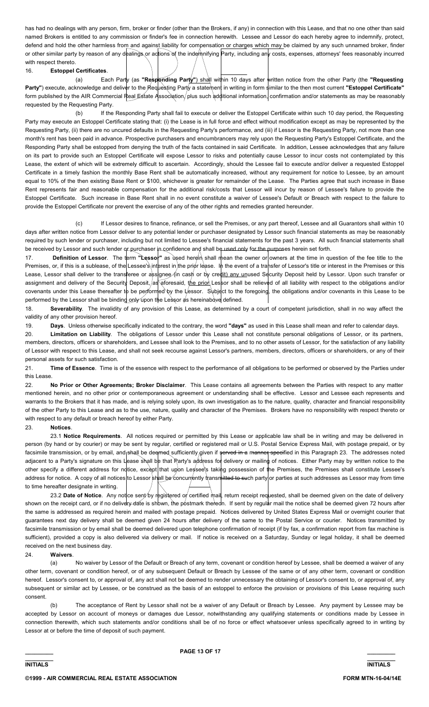has had no dealings with any person, firm, broker or finder (other than the Brokers, if any) in connection with this Lease, and that no one other than said named Brokers is entitled to any commission or finder's fee in connection herewith. Lessee and Lessor do each hereby agree to indemnify, protect, defend and hold the other harmless from and against liability for compensation or charges which may be claimed by any such unnamed broker, finder or other similar party by reason of any dealings or actions of the indemnifying Party, including any costs, expenses, attorneys' fees reasonably incurred with respect thereto.

# 16. **Estoppel Certificates**.

 (a) Each Party (as **"Responding Party"**) shall within 10 days after written notice from the other Party (the **"Requesting** Party") execute, acknowledge and deliver to the Requesting Party a statement in writing in form similar to the then most current "Estoppel Certificate" form published by the AIR Commercial Real Estate Association/plus such additional information, confirmation and/or statements as may be reasonably requested by the Requesting Party.

 (b) If the Responding Party shall fail to execute or deliver the Estoppel Certificate within such 10 day period, the Requesting Party may execute an Estoppel Certificate stating that: (i) the Lease is in full force and effect without modification except as may be represented by the Requesting Party, (ii) there are no uncured defaults in the Requesting Party's performance, and (iii) if Lessor is the Requesting Party, not more than one month's rent has been paid in advance. Prospective purchasers and encumbrancers may rely upon the Requesting Party's Estoppel Certificate, and the Responding Party shall be estopped from denying the truth of the facts contained in said Certificate. In addition, Lessee acknowledges that any failure on its part to provide such an Estoppel Certificate will expose Lessor to risks and potentially cause Lessor to incur costs not contemplated by this Lease, the extent of which will be extremely difficult to ascertain. Accordingly, should the Lessee fail to execute and/or deliver a requested Estoppel Certificate in a timely fashion the monthly Base Rent shall be automatically increased, without any requirement for notice to Lessee, by an amount equal to 10% of the then existing Base Rent or \$100, whichever is greater for remainder of the Lease. The Parties agree that such increase in Base Rent represents fair and reasonable compensation for the additional risk/costs that Lessor will incur by reason of Lessee's failure to provide the Estoppel Certificate. Such increase in Base Rent shall in no event constitute a waiver of Lessee's Default or Breach with respect to the failure to provide the Estoppel Certificate nor prevent the exercise of any of the other rights and remedies granted hereunder.

 (c) If Lessor desires to finance, refinance, or sell the Premises, or any part thereof, Lessee and all Guarantors shall within 10 days after written notice from Lessor deliver to any potential lender or purchaser designated by Lessor such financial statements as may be reasonably required by such lender or purchaser, including but not limited to Lessee's financial statements for the past 3 years. All such financial statements shall be received by Lessor and such lender or purchaser in confidence and shall be used only for the purposes herein set forth.

17. **Definition of Lessor**. The term "Lessor" as used herein shall mean the owner or owners at the time in question of the fee title to the Premises, or, if this is a sublease, of the Lessee's interest in the prior lease. In the event of a transfer of Lessor's title or interest in the Premises or this Lease, Lessor shall deliver to the transferee or assignee (in cash or by credit) any unused Security Deposit held by Lessor. Upon such transfer or assignment and delivery of the Security Deposit, as aforesaid, the prior Lessor shall be relieved of all liability with respect to the obligations and/or covenants under this Lease thereafter to be performed by the Lessor. Subject to the foregoing, the obligations and/or covenants in this Lease to be performed by the Lessor shall be binding only upon the Lessor as hereinabove defined.

18. **Severability**. The invalidity of any provision of this Lease, as determined by a court of competent jurisdiction, shall in no way affect the validity of any other provision hereof.

19. **Days**. Unless otherwise specifically indicated to the contrary, the word **"days"** as used in this Lease shall mean and refer to calendar days.

20. **Limitation on Liability**. The obligations of Lessor under this Lease shall not constitute personal obligations of Lessor, or its partners, members, directors, officers or shareholders, and Lessee shall look to the Premises, and to no other assets of Lessor, for the satisfaction of any liability of Lessor with respect to this Lease, and shall not seek recourse against Lessor's partners, members, directors, officers or shareholders, or any of their personal assets for such satisfaction.

21. **Time of Essence**. Time is of the essence with respect to the performance of all obligations to be performed or observed by the Parties under this Lease.

22. **No Prior or Other Agreements; Broker Disclaimer**. This Lease contains all agreements between the Parties with respect to any matter mentioned herein, and no other prior or contemporaneous agreement or understanding shall be effective. Lessor and Lessee each represents and warrants to the Brokers that it has made, and is relying solely upon, its own investigation as to the nature, quality, character and financial responsibility of the other Party to this Lease and as to the use, nature, quality and character of the Premises. Brokers have no responsibility with respect thereto or with respect to any default or breach hereof by either Party.

# 23. **Notices**.

 23.1 **Notice Requirements**. All notices required or permitted by this Lease or applicable law shall be in writing and may be delivered in person (by hand or by courier) or may be sent by regular, certified or registered mail or U.S. Postal Service Express Mail, with postage prepaid, or by facsimile transmission, or by email, and shall be deemed sufficiently given if served in a manner specified in this Paragraph 23. The addresses noted adjacent to a Party's signature on this Lease shall be that Rarty's address for delivery or mailing of notices. Either Party may by written notice to the other specify a different address for notice, except that upon Lessee's taking possession of the Premises, the Premises shall constitute Lessee's address for notice. A copy of all notices to Lessor shall be concurrently transmitted to such party or parties at such addresses as Lessor may from time to time hereafter designate in writing.

23.2 Date of Notice. Any notice sent by registered or certified mail, return receipt requested, shall be deemed given on the date of delivery shown on the receipt card, or if no delivery date is shown, the postmark thereon. If sent by regular mail the notice shall be deemed given 72 hours after the same is addressed as required herein and mailed with postage prepaid. Notices delivered by United States Express Mail or overnight courier that guarantees next day delivery shall be deemed given 24 hours after delivery of the same to the Postal Service or courier. Notices transmitted by facsimile transmission or by email shall be deemed delivered upon telephone confirmation of receipt (if by fax, a confirmation report from fax machine is sufficient), provided a copy is also delivered via delivery or mail. If notice is received on a Saturday, Sunday or legal holiday, it shall be deemed received on the next business day.

#### 24. **Waivers**.

 (a) No waiver by Lessor of the Default or Breach of any term, covenant or condition hereof by Lessee, shall be deemed a waiver of any other term, covenant or condition hereof, or of any subsequent Default or Breach by Lessee of the same or of any other term, covenant or condition hereof. Lessor's consent to, or approval of, any act shall not be deemed to render unnecessary the obtaining of Lessor's consent to, or approval of, any subsequent or similar act by Lessee, or be construed as the basis of an estoppel to enforce the provision or provisions of this Lease requiring such consent.

 (b) The acceptance of Rent by Lessor shall not be a waiver of any Default or Breach by Lessee. Any payment by Lessee may be accepted by Lessor on account of moneys or damages due Lessor, notwithstanding any qualifying statements or conditions made by Lessee in connection therewith, which such statements and/or conditions shall be of no force or effect whatsoever unless specifically agreed to in writing by Lessor at or before the time of deposit of such payment.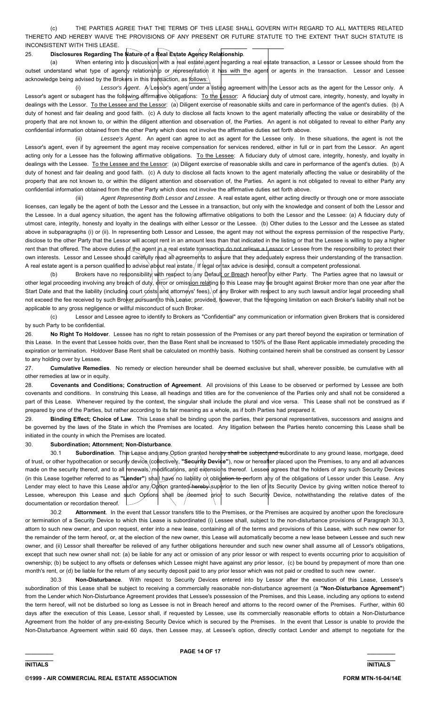(c) THE PARTIES AGREE THAT THE TERMS OF THIS LEASE SHALL GOVERN WITH REGARD TO ALL MATTERS RELATED THERETO AND HEREBY WAIVE THE PROVISIONS OF ANY PRESENT OR FUTURE STATUTE TO THE EXTENT THAT SUCH STATUTE IS INCONSISTENT WITH THIS LEASE.

# 25. **Disclosures Regarding The Nature of a Real Estate Agency Relationship**.

(a) When entering into a discussion with a real estate agent regarding a real estate transaction, a Lessor or Lessee should from the outset understand what type of agency relationship or representation it has with the agent or agents in the transaction. Lessor and Lessee acknowledge being advised by the Brokers in this transaction, as follows:

(i) Lessor's Agent. A Lessor's agent under a listing agreement with the Lessor acts as the agent for the Lessor only. A Lessor's agent or subagent has the following affirmative obligations: To the Lessor: A fiduciary duty of utmost care, integrity, honesty, and loyalty in dealings with the Lessor. To the Lessee and the Lessor: (a) Diligent exercise of reasonable skills and care in performance of the agent's duties. (b) A duty of honest and fair dealing and good faith. (c) A duty to disclose all facts known to the agent materially affecting the value or desirability of the property that are not known to, or within the diligent attention and observation of, the Parties. An agent is not obligated to reveal to either Party any confidential information obtained from the other Party which does not involve the affirmative duties set forth above.

 (ii) *Lessee's Agent*. An agent can agree to act as agent for the Lessee only. In these situations, the agent is not the Lessor's agent, even if by agreement the agent may receive compensation for services rendered, either in full or in part from the Lessor. An agent acting only for a Lessee has the following affirmative obligations. To the Lessee: A fiduciary duty of utmost care, integrity, honesty, and loyalty in dealings with the Lessee. To the Lessee and the Lessor: (a) Diligent exercise of reasonable skills and care in performance of the agent's duties. (b) A duty of honest and fair dealing and good faith. (c) A duty to disclose all facts known to the agent materially affecting the value or desirability of the property that are not known to, or within the diligent attention and observation of, the Parties. An agent is not obligated to reveal to either Party any confidential information obtained from the other Party which does not involve the affirmative duties set forth above.

 (iii) *Agent Representing Both Lessor and Lessee*. A real estate agent, either acting directly or through one or more associate licenses, can legally be the agent of both the Lessor and the Lessee in a transaction, but only with the knowledge and consent of both the Lessor and the Lessee. In a dual agency situation, the agent has the following affirmative obligations to both the Lessor and the Lessee: (a) A fiduciary duty of utmost care, integrity, honesty and loyalty in the dealings with either Lessor or the Lessee. (b) Other duties to the Lessor and the Lessee as stated above in subparagraphs (i) or (ii). In representing both Lessor and Lessee, the agent may not without the express permission of the respective Party, disclose to the other Party that the Lessor will accept rent in an amount less than that indicated in the listing or that the Lessee is willing to pay a higher rent than that offered. The above duties of the agent in a real estate transaction do not relieve a Lessor or Lessee from the responsibility to protect their own interests. Lessor and Lessee should carefully read all agreements to assure that they adequately express their understanding of the transaction. A real estate agent is a person qualified to advise about real estate. If legal or tax advice is desired, consult a competent professional.

(b) Brokers have no responsibility with respect to/any Default or Breach hereof by either Party. The Parties agree that no lawsuit or other legal proceeding involving any breach of duty, evor or omission relating to this Lease may be brought against Broker more than one year after the Start Date and that the liability (including court costs and attorneys' fees), of any Broker with respect to any such lawsuit and/or legal proceeding shall not exceed the fee received by such Broker pursuant to this Lease; provided, however, that the foregoing limitation on each Broker's liability shall not be applicable to any gross negligence or willful misconduct of such Broker.

 (c) Lessor and Lessee agree to identify to Brokers as "Confidential" any communication or information given Brokers that is considered by such Party to be confidential.

26. **No Right To Holdover**. Lessee has no right to retain possession of the Premises or any part thereof beyond the expiration or termination of this Lease. In the event that Lessee holds over, then the Base Rent shall be increased to 150% of the Base Rent applicable immediately preceding the expiration or termination. Holdover Base Rent shall be calculated on monthly basis. Nothing contained herein shall be construed as consent by Lessor to any holding over by Lessee.

27. **Cumulative Remedies**. No remedy or election hereunder shall be deemed exclusive but shall, wherever possible, be cumulative with all other remedies at law or in equity.

28. **Covenants and Conditions; Construction of Agreement**. All provisions of this Lease to be observed or performed by Lessee are both covenants and conditions. In construing this Lease, all headings and titles are for the convenience of the Parties only and shall not be considered a part of this Lease. Whenever required by the context, the singular shall include the plural and vice versa. This Lease shall not be construed as if prepared by one of the Parties, but rather according to its fair meaning as a whole, as if both Parties had prepared it.

29. **Binding Effect; Choice of Law**. This Lease shall be binding upon the parties, their personal representatives, successors and assigns and be governed by the laws of the State in which the Premises are located. Any litigation between the Parties hereto concerning this Lease shall be initiated in the county in which the Premises are located.

### 30. **Subordination; Attornment; Non-Disturbance**.

30.1 **Subordination**. This Lease and any Option granted hereby shall be subject and subordinate to any ground lease, mortgage, deed of trust, or other hypothecation or security device (collectively, "Security Device"), now or hereafter placed upon the Premises, to any and all advances made on the security thereof, and to all renewals, modifications, and extensions thereof. Lessee agrees that the holders of any such Security Devices (in this Lease together referred to as "Lender") shall have no liability of obligation to perform any of the obligations of Lessor under this Lease. Any Lender may elect to have this Lease and/or any/Option granted hereby superior to the lien of its Security Device by giving written notice thereof to Lessee, whereupon this Lease and such Options shall be deemed prior to such Security Device, notwithstanding the relative dates of the documentation or recordation thereof.

 30.2 **Attornment**. In the event that Lessor transfers title to the Premises, or the Premises are acquired by another upon the foreclosure or termination of a Security Device to which this Lease is subordinated (i) Lessee shall, subject to the non-disturbance provisions of Paragraph 30.3, attorn to such new owner, and upon request, enter into a new lease, containing all of the terms and provisions of this Lease, with such new owner for the remainder of the term hereof, or, at the election of the new owner, this Lease will automatically become a new lease between Lessee and such new owner, and (ii) Lessor shall thereafter be relieved of any further obligations hereunder and such new owner shall assume all of Lessor's obligations, except that such new owner shall not: (a) be liable for any act or omission of any prior lessor or with respect to events occurring prior to acquisition of ownership; (b) be subject to any offsets or defenses which Lessee might have against any prior lessor, (c) be bound by prepayment of more than one month's rent, or (d) be liable for the return of any security deposit paid to any prior lessor which was not paid or credited to such new owner.

 30.3 **Non-Disturbance**. With respect to Security Devices entered into by Lessor after the execution of this Lease, Lessee's subordination of this Lease shall be subject to receiving a commercially reasonable non-disturbance agreement (a **"Non-Disturbance Agreement"**) from the Lender which Non-Disturbance Agreement provides that Lessee's possession of the Premises, and this Lease, including any options to extend the term hereof, will not be disturbed so long as Lessee is not in Breach hereof and attorns to the record owner of the Premises. Further, within 60 days after the execution of this Lease, Lessor shall, if requested by Lessee, use its commercially reasonable efforts to obtain a Non-Disturbance Agreement from the holder of any pre-existing Security Device which is secured by the Premises. In the event that Lessor is unable to provide the Non-Disturbance Agreement within said 60 days, then Lessee may, at Lessee's option, directly contact Lender and attempt to negotiate for the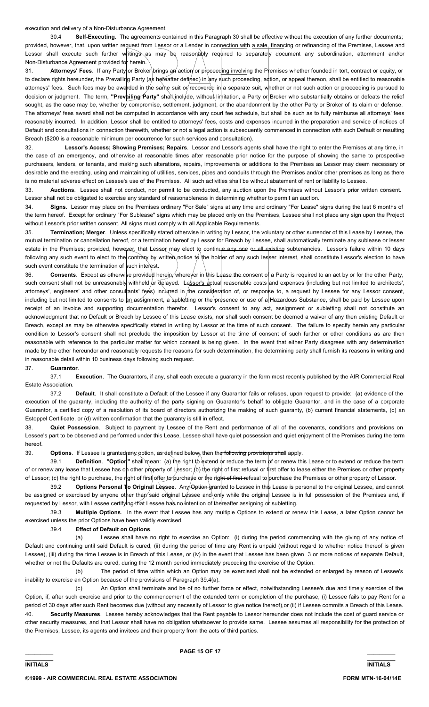#### execution and delivery of a Non-Disturbance Agreement.

 30.4 **Self-Executing**. The agreements contained in this Paragraph 30 shall be effective without the execution of any further documents; provided, however, that, upon written request from Lessor or a Lender in connection with a sale, financing or refinancing of the Premises, Lessee and Lessor shall execute such further writings as may be reasonably required to separately document any subordination, attornment and/or Non-Disturbance Agreement provided for herein.

31. **Attorneys' Fees**. If any Party or Broker brings an action or proceeding involving the Premises whether founded in tort, contract or equity, or to declare rights hereunder, the Prevailing Party (as hereafter defined) in any such proceeding, action, or appeal thereon, shall be entitled to reasonable attorneys' fees. Such fees may be awarded in the same suit or/recovered in a separate suit, whether or not such action or proceeding is pursued to decision or judgment. The term, "Prevailing Party" shall include, without limitation, a Party or Broker who substantially obtains or defeats the relief sought, as the case may be, whether by compromise, settlement, judgment, or the abandonment by the other Party or Broker of its claim or defense. The attorneys' fees award shall not be computed in accordance with any court fee schedule, but shall be such as to fully reimburse all attorneys' fees reasonably incurred. In addition, Lessor shall be entitled to attorneys' fees, costs and expenses incurred in the preparation and service of notices of Default and consultations in connection therewith, whether or not a legal action is subsequently commenced in connection with such Default or resulting Breach (\$200 is a reasonable minimum per occurrence for such services and consultation).

32. **Lessor's Access; Showing Premises; Repairs**. Lessor and Lessor's agents shall have the right to enter the Premises at any time, in the case of an emergency, and otherwise at reasonable times after reasonable prior notice for the purpose of showing the same to prospective purchasers, lenders, or tenants, and making such alterations, repairs, improvements or additions to the Premises as Lessor may deem necessary or desirable and the erecting, using and maintaining of utilities, services, pipes and conduits through the Premises and/or other premises as long as there is no material adverse effect on Lessee's use of the Premises. All such activities shall be without abatement of rent or liability to Lessee.

33. **Auctions**. Lessee shall not conduct, nor permit to be conducted, any auction upon the Premises without Lessor's prior written consent. Lessor shall not be obligated to exercise any standard of reasonableness in determining whether to permit an auction.

34. **Signs**. Lessor may place on the Premises ordinary "For Sale" signs at any time and ordinary "For Lease" signs during the last 6 months of the term hereof. Except for ordinary "For Sublease" signs which may be placed only on the Premises, Lessee shall not place any sign upon the Project without Lessor's prior written consent. All signs must comply with all Applicable Requirements.

35. **Termination; Merger**. Unless specifically stated otherwise in writing by Lessor, the voluntary or other surrender of this Lease by Lessee, the mutual termination or cancellation hereof, or a termination hereof by Lessor for Breach by Lessee, shall automatically terminate any sublease or lesser estate in the Premises; provided, however, that Lessor may elect to continue any one or all existing subtenancies. Lessor's failure within 10 days following any such event to elect to the contrary by written notice to the holder of any such lesser interest, shall constitute Lessor's election to have such event constitute the termination of such interest

36. **Consents**. Except as otherwise provided herein, wherever in this Lease the consent of a Party is required to an act by or for the other Party, such consent shall not be unreasonably withheld or delayed. Lessor's actual reasonable costs and expenses (including but not limited to architects', attorneys', engineers' and other consultants' fees) incurred in the consideration of, or response to, a request by Lessee for any Lessor consent, including but not limited to consents to an assignment, a subletting or the presence or use of a Hazardous Substance, shall be paid by Lessee upon receipt of an invoice and supporting documentation therefor. Lessor's consent to any act, assignment or subletting shall not constitute an acknowledgment that no Default or Breach by Lessee of this Lease exists, nor shall such consent be deemed a waiver of any then existing Default or Breach, except as may be otherwise specifically stated in writing by Lessor at the time of such consent. The failure to specify herein any particular condition to Lessor's consent shall not preclude the imposition by Lessor at the time of consent of such further or other conditions as are then reasonable with reference to the particular matter for which consent is being given. In the event that either Party disagrees with any determination made by the other hereunder and reasonably requests the reasons for such determination, the determining party shall furnish its reasons in writing and in reasonable detail within 10 business days following such request.

#### 37. **Guarantor**.

 37.1 **Execution**. The Guarantors, if any, shall each execute a guaranty in the form most recently published by the AIR Commercial Real Estate Association.

 37.2 **Default**. It shall constitute a Default of the Lessee if any Guarantor fails or refuses, upon request to provide: (a) evidence of the execution of the guaranty, including the authority of the party signing on Guarantor's behalf to obligate Guarantor, and in the case of a corporate Guarantor, a certified copy of a resolution of its board of directors authorizing the making of such guaranty, (b) current financial statements, (c) an Estoppel Certificate, or (d) written confirmation that the guaranty is still in effect.

38. **Quiet Possession**. Subject to payment by Lessee of the Rent and performance of all of the covenants, conditions and provisions on Lessee's part to be observed and performed under this Lease, Lessee shall have quiet possession and quiet enjoyment of the Premises during the term hereof.

39. **Options**. If Lessee is granted any option, as defined below, then the following provisions shall apply.

39.1 **Definition. "Option**" shall mean: (a) the right to extend or reduce the term of or renew this Lease or to extend or reduce the term of or renew any lease that Lessee has on other property of Lessor; (b) the right of first refusal or first offer to lease either the Premises or other property of Lessor; (c) the right to purchase, the right of first offer to purchase or the right of first refusal to purchase the Premises or other property of Lessor.

 39.2 **Options Personal To Original Lessee**. Any Option granted to Lessee in this Lease is personal to the original Lessee, and cannot be assigned or exercised by anyone other than said original Lessee and only while the original Lessee is in full possession of the Premises and, if requested by Lessor, with Lessee certifying that Lessee has no intention of the reafter assigning or subletting.

 39.3 **Multiple Options**. In the event that Lessee has any multiple Options to extend or renew this Lease, a later Option cannot be exercised unless the prior Options have been validly exercised.

#### 39.4 **Effect of Default on Options**.

 (a) Lessee shall have no right to exercise an Option: (i) during the period commencing with the giving of any notice of Default and continuing until said Default is cured, (ii) during the period of time any Rent is unpaid (without regard to whether notice thereof is given Lessee), (iii) during the time Lessee is in Breach of this Lease, or (iv) in the event that Lessee has been given 3 or more notices of separate Default, whether or not the Defaults are cured, during the 12 month period immediately preceding the exercise of the Option.

 (b) The period of time within which an Option may be exercised shall not be extended or enlarged by reason of Lessee's inability to exercise an Option because of the provisions of Paragraph 39.4(a).

 (c) An Option shall terminate and be of no further force or effect, notwithstanding Lessee's due and timely exercise of the Option, if, after such exercise and prior to the commencement of the extended term or completion of the purchase, (i) Lessee fails to pay Rent for a period of 30 days after such Rent becomes due (without any necessity of Lessor to give notice thereof),or (ii) if Lessee commits a Breach of this Lease. 40. **Security Measures**. Lessee hereby acknowledges that the Rent payable to Lessor hereunder does not include the cost of guard service or other security measures, and that Lessor shall have no obligation whatsoever to provide same. Lessee assumes all responsibility for the protection of the Premises, Lessee, its agents and invitees and their property from the acts of third parties.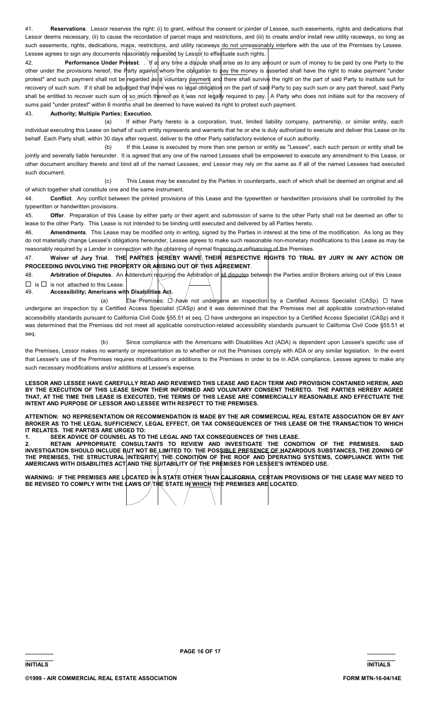41. **Reservations**. Lessor reserves the right: (i) to grant, without the consent or joinder of Lessee, such easements, rights and dedications that Lessor deems necessary, (ii) to cause the recordation of parcel maps and restrictions, and (iii) to create and/or install new utility raceways, so long as such easements, rights, dedications, maps, restrictions, and utility raceways do not unreasonably interfere with the use of the Premises by Lessee. Lessee agrees to sign any documents reasonably requested by Lessot to effectuate such rights.

42. **Performance Under Protest**. . If at any time a dispute shall arise as to any amount or sum of money to be paid by one Party to the other under the provisions hereof, the Party against whom/the obligation to pay the money is asserted shall have the right to make payment "under protest" and such payment shall not be regarded as a voluntary payment and there shall survive the right on the part of said Party to institute suit for recovery of such sum. If it shall be adjudged that there was no legal obligation on the part of said Party to pay such sum or any part thereof, said Party shall be entitled to recover such sum or so much thereor as it/was not legally required to pay. A Party who does not initiate suit for the recovery of sums paid "under protest" within 6 months shall be deemed to have waived its right to protest such payment.

### 43. **Authority; Multiple Parties; Execution.**

 (a) If either Party hereto is a corporation, trust, limited liability company, partnership, or similar entity, each individual executing this Lease on behalf of such entity represents and warrants that he or she is duly authorized to execute and deliver this Lease on its behalf. Each Party shall, within 30 days after request, deliver to the other Party satisfactory evidence of such authority.

 (b) If this Lease is executed by more than one person or entity as "Lessee", each such person or entity shall be jointly and severally liable hereunder. It is agreed that any one of the named Lessees shall be empowered to execute any amendment to this Lease, or other document ancillary thereto and bind all of the named Lessees, and Lessor may rely on the same as if all of the named Lessees had executed such document.

 (c) This Lease may be executed by the Parties in counterparts, each of which shall be deemed an original and all of which together shall constitute one and the same instrument.

44. **Conflict**. Any conflict between the printed provisions of this Lease and the typewritten or handwritten provisions shall be controlled by the typewritten or handwritten provisions.

45. **Offer**. Preparation of this Lease by either party or their agent and submission of same to the other Party shall not be deemed an offer to lease to the other Party. This Lease is not intended to be binding until executed and delivered by all Parties hereto.

46. **Amendments**. This Lease may be modified only in writing, signed by the Parties in interest at the time of the modification. As long as they do not materially change Lessee's obligations hereunder, Lessee agrees to make such reasonable non-monetary modifications to this Lease as may be reasonably required by a Lender in connection with the obtaining of normal financing or refinancing of the Premises.

47. **Waiver of Jury Trial**. **THE PARTIES HEREBY WAIVE THEIR RESPECTIVE RIGHTS TO TRIAL BY JURY IN ANY ACTION OR** PROCEEDING INVOLVING THE PROPERTY OR ARISING OUT OF THIS AGREEMENT.

48. **Arbitration of Disputes**. An Addendum requiring the Arbitration of all disputes between the Parties and/or Brokers arising out of this Lease  $\Box$  is  $\Box$  is not attached to this Lease.

49. **Accessibility; Americans with Disabilities Act.**

(a) The Premises:  $\Box$  have not undergone an inspection by a Certified Access Specialist (CASp).  $\Box$  have undergone an inspection by a Certified Access Specialist (CASp) and it was determined that the Premises met all applicable construction-related accessibility standards pursuant to California Civil Code §55.51 et seq.  $\Box$  have undergone an inspection by a Certified Access Specialist (CASp) and it was determined that the Premises did not meet all applicable construction-related accessibility standards pursuant to California Civil Code §55.51 et seq.

 (b) Since compliance with the Americans with Disabilities Act (ADA) is dependent upon Lessee's specific use of the Premises, Lessor makes no warranty or representation as to whether or not the Premises comply with ADA or any similar legislation. In the event that Lessee's use of the Premises requires modifications or additions to the Premises in order to be in ADA compliance, Lessee agrees to make any such necessary modifications and/or additions at Lessee's expense.

**LESSOR AND LESSEE HAVE CAREFULLY READ AND REVIEWED THIS LEASE AND EACH TERM AND PROVISION CONTAINED HEREIN, AND BY THE EXECUTION OF THIS LEASE SHOW THEIR INFORMED AND VOLUNTARY CONSENT THERETO. THE PARTIES HEREBY AGREE THAT, AT THE TIME THIS LEASE IS EXECUTED, THE TERMS OF THIS LEASE ARE COMMERCIALLY REASONABLE AND EFFECTUATE THE INTENT AND PURPOSE OF LESSOR AND LESSEE WITH RESPECT TO THE PREMISES.**

**ATTENTION: NO REPRESENTATION OR RECOMMENDATION IS MADE BY THE AIR COMMERCIAL REAL ESTATE ASSOCIATION OR BY ANY BROKER AS TO THE LEGAL SUFFICIENCY, LEGAL EFFECT, OR TAX CONSEQUENCES OF THIS LEASE OR THE TRANSACTION TO WHICH IT RELATES. THE PARTIES ARE URGED TO:**

**1. SEEK ADVICE OF COUNSEL AS TO THE LEGAL AND TAX CONSEQUENCES OF THIS LEASE.** 

**2. RETAIN APPROPRIATE CONSULTANTS TO REVIEW AND INVESTIGATE THE CONDITION OF THE PREMISES. SAID INVESTIGATION SHOULD INCLUDE BUT NOT BE LIMITED TO: THE POSSIBLE PRESENCE OF HAZARDOUS SUBSTANCES, THE ZONING OF** THE PREMISES, THE STRUCTURAL INTÈGRITY, THÈ CONDITION OF THE ROOF AND OPERATING SYSTEMS, COMPLIANCE WITH THE **AMERICANS WITH DISABILITIES ACT AND THE SUITABILITY OF THE PREMISES FOR LESSEE'S INTENDED USE.** 

**WARNING: IF THE PREMISES ARE LOCATED IN A STATE OTHER THAN CALIFORNIA, CERTAIN PROVISIONS OF THE LEASE MAY NEED TO BE REVISED TO COMPLY WITH THE LAWS OF THE STATE IN WHICH THE PREMISES ARE LOCATED.**